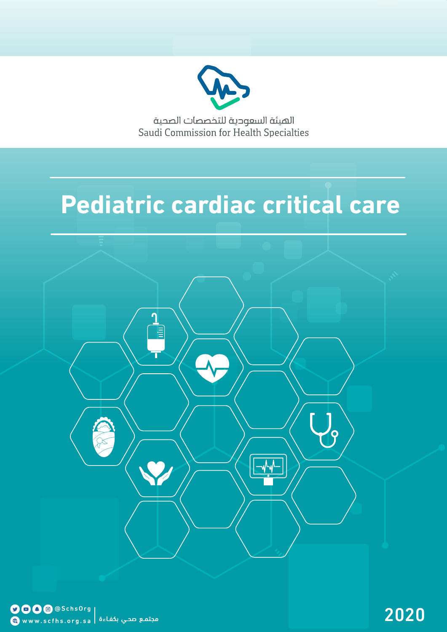

الهيئة السعودية للتخصصات الصحية Saudi Commission for Health Specialties

# **Pediatric cardiac critical care**

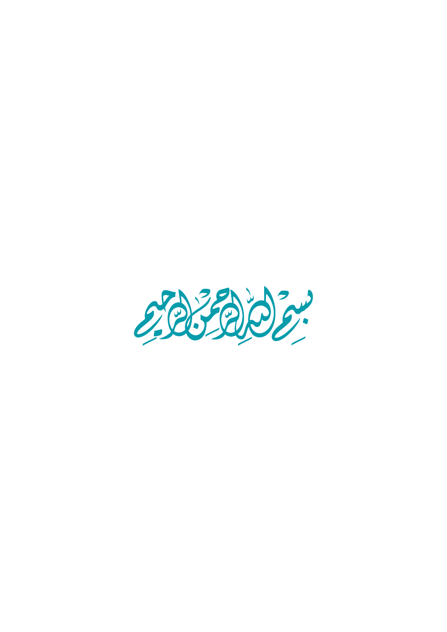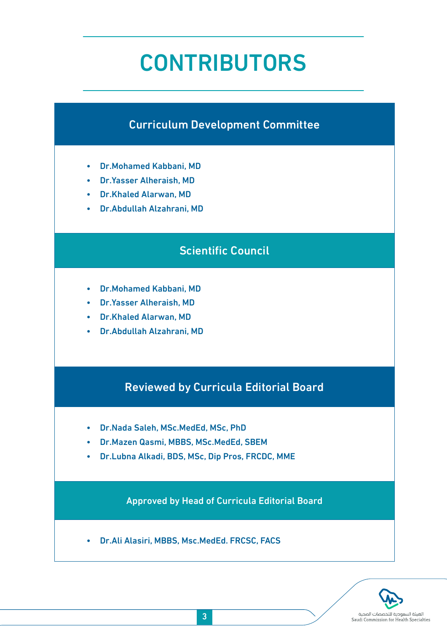# CONTRIBUTORS

## Curriculum Development Committee

- Dr.Mohamed Kabbani, MD
- Dr.Yasser Alheraish, MD
- Dr.Khaled Alarwan, MD
- Dr.Abdullah Alzahrani, MD

## Scientific Council

- Dr.Mohamed Kabbani, MD
- Dr.Yasser Alheraish, MD
- Dr.Khaled Alarwan, MD
- Dr.Abdullah Alzahrani, MD

## Reviewed by Curricula Editorial Board

- Dr.Nada Saleh, MSc.MedEd, MSc, PhD
- Dr.Mazen Qasmi, MBBS, MSc.MedEd, SBEM
- Dr.Lubna Alkadi, BDS, MSc, Dip Pros, FRCDC, MME

Approved by Head of Curricula Editorial Board

• Dr.Ali Alasiri, MBBS, Msc.MedEd. FRCSC, FACS

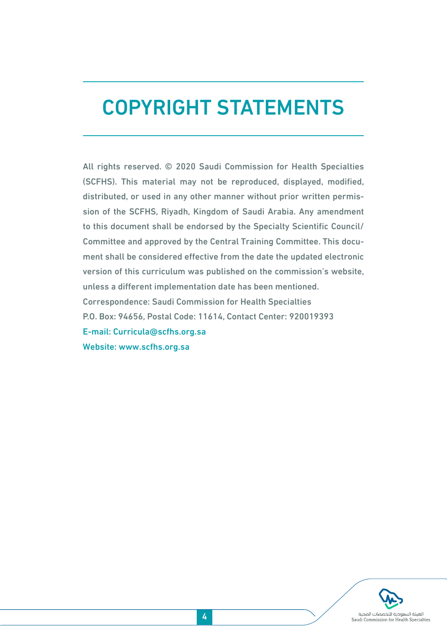# COPYRIGHT STATEMENTS

All rights reserved. © 2020 Saudi Commission for Health Specialties (SCFHS). This material may not be reproduced, displayed, modified, distributed, or used in any other manner without prior written permission of the SCFHS, Riyadh, Kingdom of Saudi Arabia. Any amendment to this document shall be endorsed by the Specialty Scientific Council/ Committee and approved by the Central Training Committee. This document shall be considered effective from the date the updated electronic version of this curriculum was published on the commission's website, unless a different implementation date has been mentioned. Correspondence: Saudi Commission for Health Specialties P.O. Box: 94656, Postal Code: 11614, Contact Center: 920019393 E-mail: Curricula@scfhs.org.sa Website: www.scfhs.org.sa

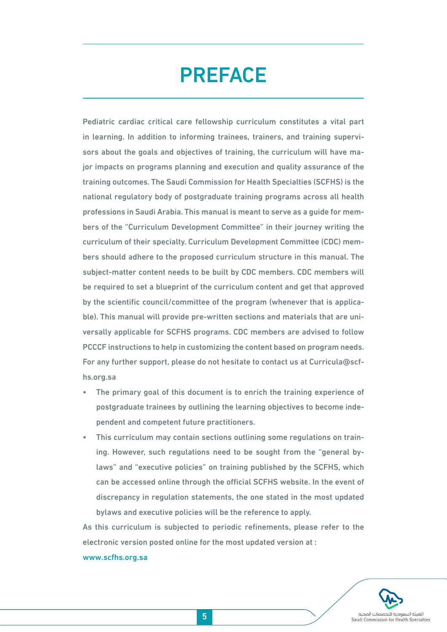# PREFACE

Pediatric cardiac critical care fellowship curriculum constitutes a vital part in learning. In addition to informing trainees, trainers, and training supervisors about the goals and objectives of training, the curriculum will have major impacts on programs planning and execution and quality assurance of the training outcomes. The Saudi Commission for Health Specialties (SCFHS) is the national regulatory body of postgraduate training programs across all health professions in Saudi Arabia. This manual is meant to serve as a guide for members of the "Curriculum Development Committee" in their journey writing the curriculum of their specialty. Curriculum Development Committee (CDC) members should adhere to the proposed curriculum structure in this manual. The subject-matter content needs to be built by CDC members. CDC members will be required to set a blueprint of the curriculum content and get that approved by the scientific council/committee of the program (whenever that is applicable). This manual will provide pre-written sections and materials that are universally applicable for SCFHS programs. CDC members are advised to follow PCCCF instructions to help in customizing the content based on program needs. For any further support, please do not hesitate to contact us at Curricula@scfhs.org.sa

- The primary goal of this document is to enrich the training experience of postgraduate trainees by outlining the learning objectives to become independent and competent future practitioners.
- This curriculum may contain sections outlining some regulations on training. However, such regulations need to be sought from the "general bylaws" and "executive policies" on training published by the SCFHS, which can be accessed online through the official SCFHS website. In the event of discrepancy in regulation statements, the one stated in the most updated bylaws and executive policies will be the reference to apply.

As this curriculum is subjected to periodic refinements, please refer to the electronic version posted online for the most updated version at :

#### www.scfhs.org.sa

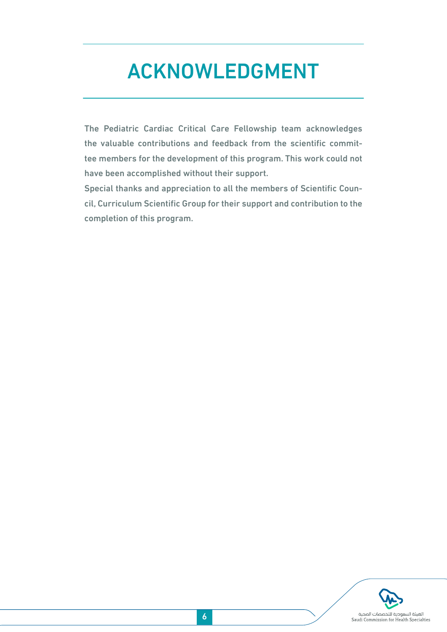# ACKNOWLEDGMENT

The Pediatric Cardiac Critical Care Fellowship team acknowledges the valuable contributions and feedback from the scientific committee members for the development of this program. This work could not have been accomplished without their support.

Special thanks and appreciation to all the members of Scientific Council, Curriculum Scientific Group for their support and contribution to the completion of this program.

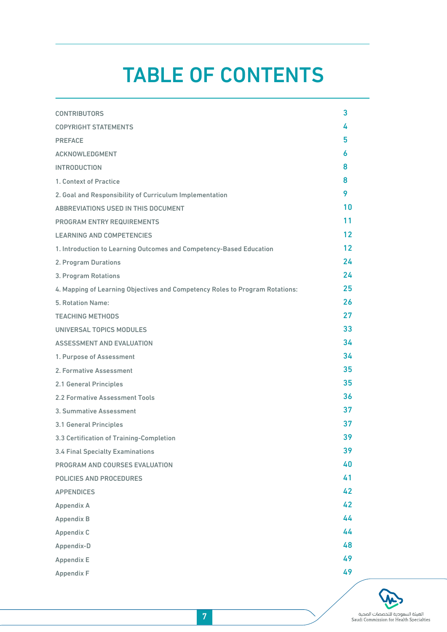# TABLE OF CONTENTS

| <b>CONTRIBUTORS</b>                                                          | 3                 |
|------------------------------------------------------------------------------|-------------------|
| <b>COPYRIGHT STATEMENTS</b>                                                  | 4                 |
| <b>PREFACE</b>                                                               | 5                 |
| <b>ACKNOWLEDGMENT</b>                                                        | 6                 |
| <b>INTRODUCTION</b>                                                          | 8                 |
| 1. Context of Practice                                                       | 8                 |
| 2. Goal and Responsibility of Curriculum Implementation                      | 9                 |
| ABBREVIATIONS USED IN THIS DOCUMENT                                          | 10                |
| PROGRAM ENTRY REQUIREMENTS                                                   | 11                |
| <b>LEARNING AND COMPETENCIES</b>                                             | 12                |
| 1. Introduction to Learning Outcomes and Competency-Based Education          | $12 \overline{ }$ |
| 2. Program Durations                                                         | 24                |
| 3. Program Rotations                                                         | 24                |
| 4. Mapping of Learning Objectives and Competency Roles to Program Rotations: | 25                |
| 5. Rotation Name:                                                            | 26                |
| <b>TEACHING METHODS</b>                                                      | 27                |
| UNIVERSAL TOPICS MODULES                                                     | 33                |
| <b>ASSESSMENT AND EVALUATION</b>                                             | 34                |
| 1. Purpose of Assessment                                                     | 34                |
| 2. Formative Assessment                                                      | 35                |
| 2.1 General Principles                                                       | 35                |
| 2.2 Formative Assessment Tools                                               | 36                |
| 3. Summative Assessment                                                      | 37                |
| 3.1 General Principles                                                       | 37                |
| 3.3 Certification of Training-Completion                                     | 39                |
| <b>3.4 Final Specialty Examinations</b>                                      | 39                |
| PROGRAM AND COURSES EVALUATION                                               | 40                |
| POLICIES AND PROCEDURES                                                      | 41                |
| <b>APPENDICES</b>                                                            | 42                |
| Appendix A                                                                   | 42                |
| <b>Appendix B</b>                                                            | 44                |
| Appendix C                                                                   | 44                |
| Appendix-D                                                                   | 48                |
| Appendix E                                                                   | 49                |
| Appendix F                                                                   | 49                |

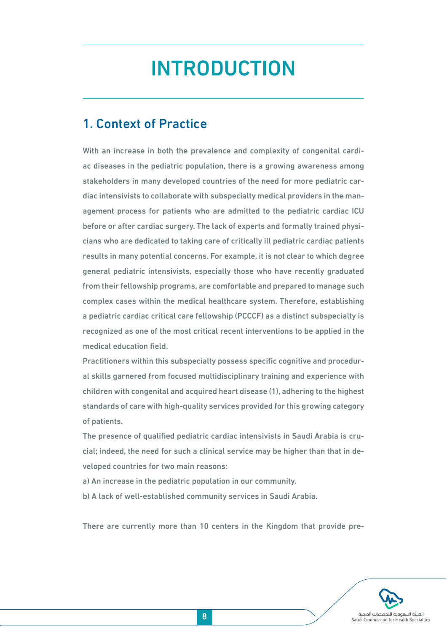# INTRODUCTION

## 1. Context of Practice

With an increase in both the prevalence and complexity of congenital cardiac diseases in the pediatric population, there is a growing awareness among stakeholders in many developed countries of the need for more pediatric cardiac intensivists to collaborate with subspecialty medical providers in the management process for patients who are admitted to the pediatric cardiac ICU before or after cardiac surgery. The lack of experts and formally trained physicians who are dedicated to taking care of critically ill pediatric cardiac patients results in many potential concerns. For example, it is not clear to which degree general pediatric intensivists, especially those who have recently graduated from their fellowship programs, are comfortable and prepared to manage such complex cases within the medical healthcare system. Therefore, establishing a pediatric cardiac critical care fellowship (PCCCF) as a distinct subspecialty is recognized as one of the most critical recent interventions to be applied in the medical education field.

Practitioners within this subspecialty possess specific cognitive and procedural skills garnered from focused multidisciplinary training and experience with children with congenital and acquired heart disease (1), adhering to the highest standards of care with high-quality services provided for this growing category of patients.

The presence of qualified pediatric cardiac intensivists in Saudi Arabia is crucial; indeed, the need for such a clinical service may be higher than that in developed countries for two main reasons:

- a) An increase in the pediatric population in our community.
- b) A lack of well-established community services in Saudi Arabia.

There are currently more than 10 centers in the Kingdom that provide pre-

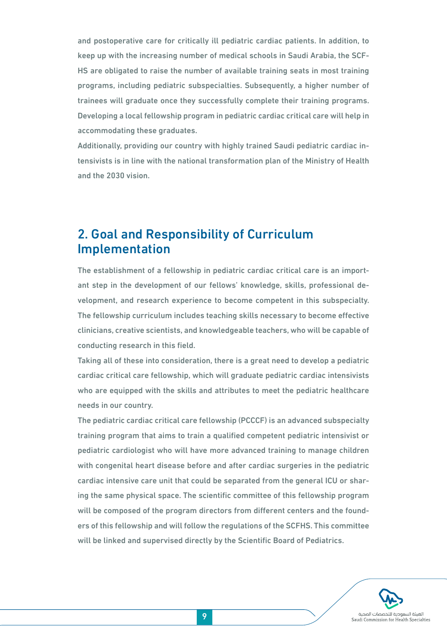and postoperative care for critically ill pediatric cardiac patients. In addition, to keep up with the increasing number of medical schools in Saudi Arabia, the SCF-HS are obligated to raise the number of available training seats in most training programs, including pediatric subspecialties. Subsequently, a higher number of trainees will graduate once they successfully complete their training programs. Developing a local fellowship program in pediatric cardiac critical care will help in accommodating these graduates.

Additionally, providing our country with highly trained Saudi pediatric cardiac intensivists is in line with the national transformation plan of the Ministry of Health and the 2030 vision.

## 2. Goal and Responsibility of Curriculum Implementation

The establishment of a fellowship in pediatric cardiac critical care is an important step in the development of our fellows' knowledge, skills, professional development, and research experience to become competent in this subspecialty. The fellowship curriculum includes teaching skills necessary to become effective clinicians, creative scientists, and knowledgeable teachers, who will be capable of conducting research in this field.

Taking all of these into consideration, there is a great need to develop a pediatric cardiac critical care fellowship, which will graduate pediatric cardiac intensivists who are equipped with the skills and attributes to meet the pediatric healthcare needs in our country.

The pediatric cardiac critical care fellowship (PCCCF) is an advanced subspecialty training program that aims to train a qualified competent pediatric intensivist or pediatric cardiologist who will have more advanced training to manage children with congenital heart disease before and after cardiac surgeries in the pediatric cardiac intensive care unit that could be separated from the general ICU or sharing the same physical space. The scientific committee of this fellowship program will be composed of the program directors from different centers and the founders of this fellowship and will follow the regulations of the SCFHS. This committee will be linked and supervised directly by the Scientific Board of Pediatrics.

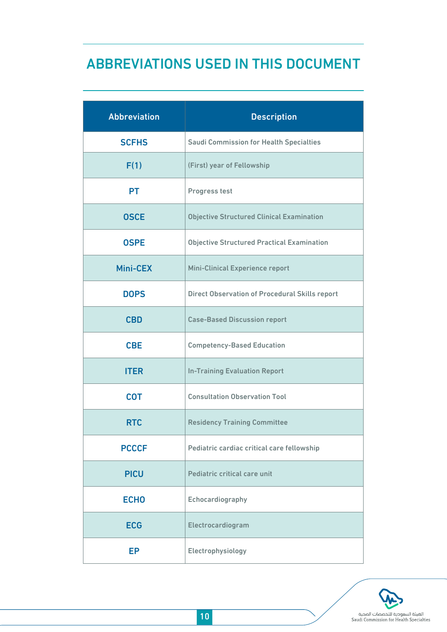## ABBREVIATIONS USED IN THIS DOCUMENT

| <b>Abbreviation</b> | <b>Description</b>                                    |
|---------------------|-------------------------------------------------------|
| <b>SCFHS</b>        | <b>Saudi Commission for Health Specialties</b>        |
| F(1)                | (First) year of Fellowship                            |
| <b>PT</b>           | Progress test                                         |
| <b>OSCE</b>         | <b>Objective Structured Clinical Examination</b>      |
| <b>OSPE</b>         | <b>Objective Structured Practical Examination</b>     |
| Mini-CEX            | <b>Mini-Clinical Experience report</b>                |
| <b>DOPS</b>         | <b>Direct Observation of Procedural Skills report</b> |
| <b>CBD</b>          | <b>Case-Based Discussion report</b>                   |
| <b>CBE</b>          | <b>Competency-Based Education</b>                     |
| <b>ITER</b>         | <b>In-Training Evaluation Report</b>                  |
| <b>COT</b>          | <b>Consultation Observation Tool</b>                  |
| <b>RTC</b>          | <b>Residency Training Committee</b>                   |
| <b>PCCCF</b>        | Pediatric cardiac critical care fellowship            |
| <b>PICU</b>         | Pediatric critical care unit                          |
| <b>ECHO</b>         | Echocardiography                                      |
| <b>ECG</b>          | Electrocardiogram                                     |
| EP                  | Electrophysiology                                     |

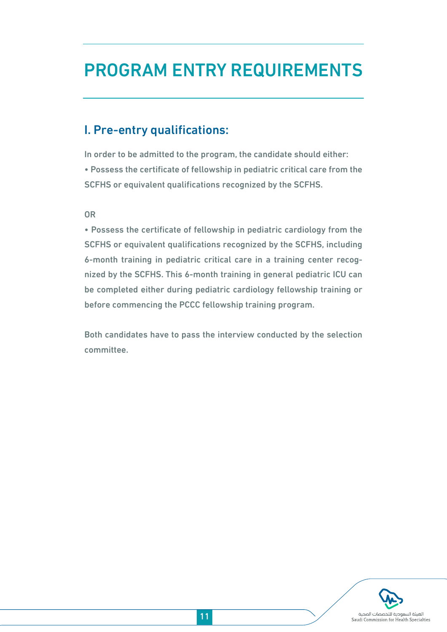## PROGRAM ENTRY REQUIREMENTS

## I. Pre-entry qualifications:

In order to be admitted to the program, the candidate should either: • Possess the certificate of fellowship in pediatric critical care from the SCFHS or equivalent qualifications recognized by the SCFHS.

OR

• Possess the certificate of fellowship in pediatric cardiology from the SCFHS or equivalent qualifications recognized by the SCFHS, including 6-month training in pediatric critical care in a training center recognized by the SCFHS. This 6-month training in general pediatric ICU can be completed either during pediatric cardiology fellowship training or before commencing the PCCC fellowship training program.

Both candidates have to pass the interview conducted by the selection committee.

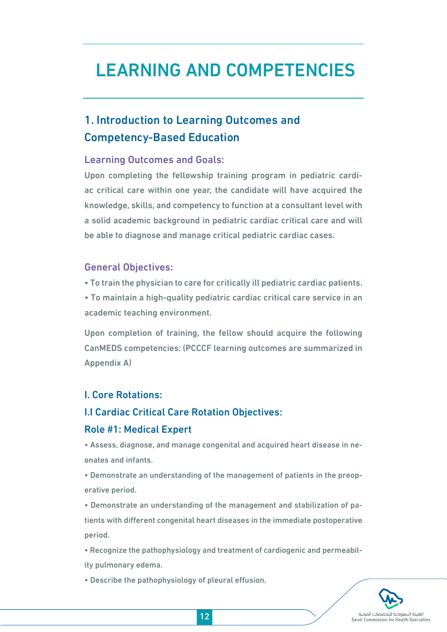## LEARNING AND COMPETENCIES

## 1. Introduction to Learning Outcomes and Competency-Based Education

### Learning Outcomes and Goals:

Upon completing the fellowship training program in pediatric cardiac critical care within one year, the candidate will have acquired the knowledge, skills, and competency to function at a consultant level with a solid academic background in pediatric cardiac critical care and will be able to diagnose and manage critical pediatric cardiac cases.

#### General Objectives:

• To train the physician to care for critically ill pediatric cardiac patients.

• To maintain a high-quality pediatric cardiac critical care service in an academic teaching environment.

Upon completion of training, the fellow should acquire the following CanMEDS competencies: (PCCCF learning outcomes are summarized in Appendix A)

## I. Core Rotations:

### I.I Cardiac Critical Care Rotation Objectives:

#### Role #1: Medical Expert

• Assess, diagnose, and manage congenital and acquired heart disease in neonates and infants.

• Demonstrate an understanding of the management of patients in the preoperative period.

• Demonstrate an understanding of the management and stabilization of patients with different congenital heart diseases in the immediate postoperative period.

• Recognize the pathophysiology and treatment of cardiogenic and permeability pulmonary edema.

• Describe the pathophysiology of pleural effusion.

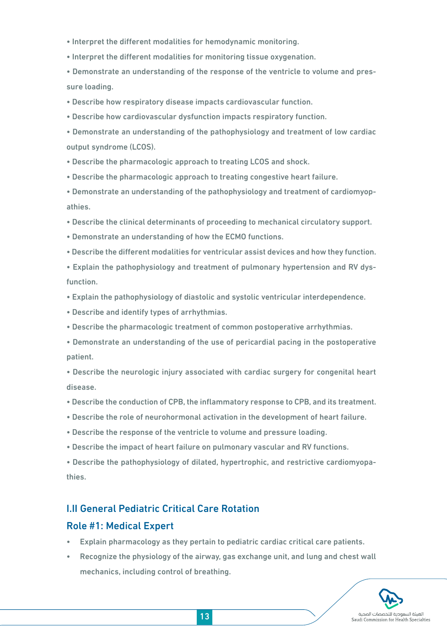- Interpret the different modalities for hemodynamic monitoring.
- Interpret the different modalities for monitoring tissue oxygenation.
- Demonstrate an understanding of the response of the ventricle to volume and pressure loading.
- Describe how respiratory disease impacts cardiovascular function.
- Describe how cardiovascular dysfunction impacts respiratory function.
- Demonstrate an understanding of the pathophysiology and treatment of low cardiac output syndrome (LCOS).
- Describe the pharmacologic approach to treating LCOS and shock.
- Describe the pharmacologic approach to treating congestive heart failure.
- Demonstrate an understanding of the pathophysiology and treatment of cardiomyopathies.
- Describe the clinical determinants of proceeding to mechanical circulatory support.
- Demonstrate an understanding of how the ECMO functions.
- Describe the different modalities for ventricular assist devices and how they function.
- Explain the pathophysiology and treatment of pulmonary hypertension and RV dysfunction.
- Explain the pathophysiology of diastolic and systolic ventricular interdependence.
- Describe and identify types of arrhythmias.
- Describe the pharmacologic treatment of common postoperative arrhythmias.
- Demonstrate an understanding of the use of pericardial pacing in the postoperative patient.
- Describe the neurologic injury associated with cardiac surgery for congenital heart disease.
- Describe the conduction of CPB, the inflammatory response to CPB, and its treatment.
- Describe the role of neurohormonal activation in the development of heart failure.
- Describe the response of the ventricle to volume and pressure loading.
- Describe the impact of heart failure on pulmonary vascular and RV functions.
- Describe the pathophysiology of dilated, hypertrophic, and restrictive cardiomyopathies.

## I.II General Pediatric Critical Care Rotation

### Role #1: Medical Expert

- Explain pharmacology as they pertain to pediatric cardiac critical care patients.
- Recognize the physiology of the airway, gas exchange unit, and lung and chest wall mechanics, including control of breathing.

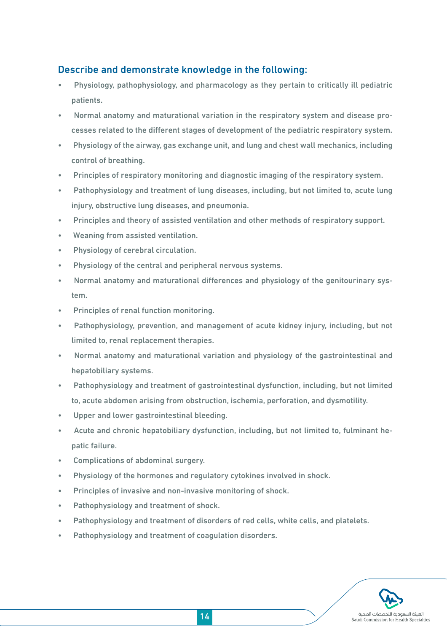## Describe and demonstrate knowledge in the following:

- Physiology, pathophysiology, and pharmacology as they pertain to critically ill pediatric patients.
- Normal anatomy and maturational variation in the respiratory system and disease processes related to the different stages of development of the pediatric respiratory system.
- Physiology of the airway, gas exchange unit, and lung and chest wall mechanics, including control of breathing.
- Principles of respiratory monitoring and diagnostic imaging of the respiratory system.
- Pathophysiology and treatment of lung diseases, including, but not limited to, acute lung injury, obstructive lung diseases, and pneumonia.
- Principles and theory of assisted ventilation and other methods of respiratory support.
- Weaning from assisted ventilation.
- Physiology of cerebral circulation.
- Physiology of the central and peripheral nervous systems.
- Normal anatomy and maturational differences and physiology of the genitourinary system.
- Principles of renal function monitoring.
- Pathophysiology, prevention, and management of acute kidney injury, including, but not limited to, renal replacement therapies.
- Normal anatomy and maturational variation and physiology of the gastrointestinal and hepatobiliary systems.
- Pathophysiology and treatment of gastrointestinal dysfunction, including, but not limited to, acute abdomen arising from obstruction, ischemia, perforation, and dysmotility.
- Upper and lower gastrointestinal bleeding.
- Acute and chronic hepatobiliary dysfunction, including, but not limited to, fulminant hepatic failure.
- Complications of abdominal surgery.
- Physiology of the hormones and regulatory cytokines involved in shock.
- Principles of invasive and non-invasive monitoring of shock.
- Pathophysiology and treatment of shock.
- Pathophysiology and treatment of disorders of red cells, white cells, and platelets.
- Pathophysiology and treatment of coagulation disorders.

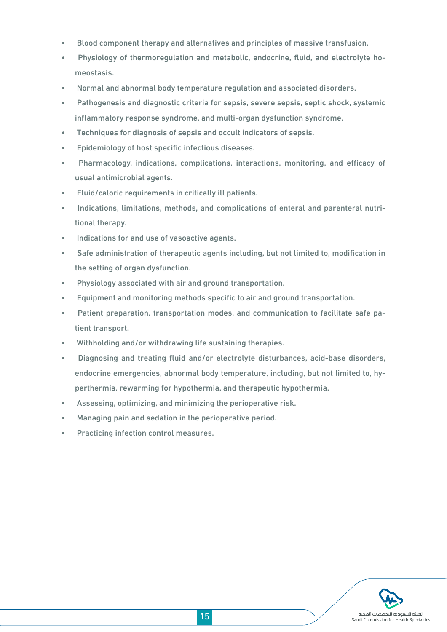- Blood component therapy and alternatives and principles of massive transfusion.
- Physiology of thermoregulation and metabolic, endocrine, fluid, and electrolyte homeostasis.
- Normal and abnormal body temperature regulation and associated disorders.
- Pathogenesis and diagnostic criteria for sepsis, severe sepsis, septic shock, systemic inflammatory response syndrome, and multi-organ dysfunction syndrome.
- Techniques for diagnosis of sepsis and occult indicators of sepsis.
- Epidemiology of host specific infectious diseases.
- Pharmacology, indications, complications, interactions, monitoring, and efficacy of usual antimicrobial agents.
- Fluid/caloric requirements in critically ill patients.
- Indications, limitations, methods, and complications of enteral and parenteral nutritional therapy.
- Indications for and use of vasoactive agents.
- Safe administration of therapeutic agents including, but not limited to, modification in the setting of organ dysfunction.
- Physiology associated with air and ground transportation.
- Equipment and monitoring methods specific to air and ground transportation.
- Patient preparation, transportation modes, and communication to facilitate safe patient transport.
- Withholding and/or withdrawing life sustaining therapies.
- Diagnosing and treating fluid and/or electrolyte disturbances, acid-base disorders, endocrine emergencies, abnormal body temperature, including, but not limited to, hyperthermia, rewarming for hypothermia, and therapeutic hypothermia.
- Assessing, optimizing, and minimizing the perioperative risk.
- Managing pain and sedation in the perioperative period.
- Practicing infection control measures.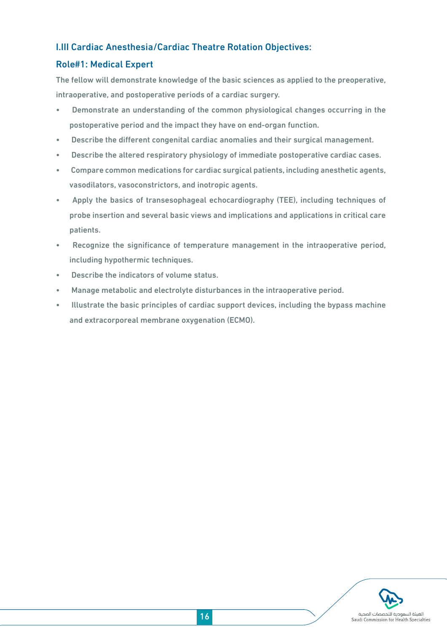## I.III Cardiac Anesthesia/Cardiac Theatre Rotation Objectives:

## Role#1: Medical Expert

The fellow will demonstrate knowledge of the basic sciences as applied to the preoperative, intraoperative, and postoperative periods of a cardiac surgery.

- Demonstrate an understanding of the common physiological changes occurring in the postoperative period and the impact they have on end-organ function.
- Describe the different congenital cardiac anomalies and their surgical management.
- Describe the altered respiratory physiology of immediate postoperative cardiac cases.
- Compare common medications for cardiac surgical patients, including anesthetic agents, vasodilators, vasoconstrictors, and inotropic agents.
- Apply the basics of transesophageal echocardiography (TEE), including techniques of probe insertion and several basic views and implications and applications in critical care patients.
- Recognize the significance of temperature management in the intraoperative period, including hypothermic techniques.
- Describe the indicators of volume status.
- Manage metabolic and electrolyte disturbances in the intraoperative period.
- Illustrate the basic principles of cardiac support devices, including the bypass machine and extracorporeal membrane oxygenation (ECMO).

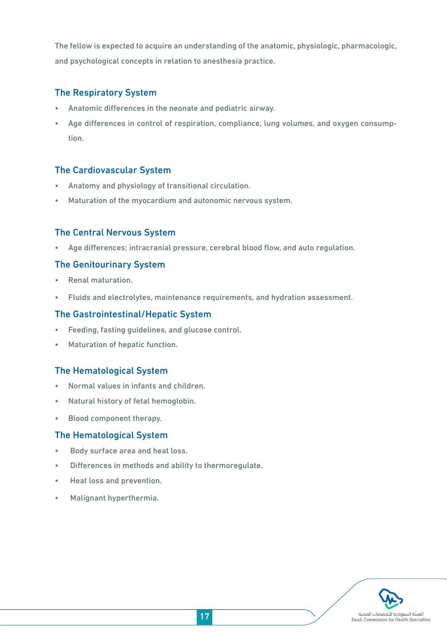The fellow is expected to acquire an understanding of the anatomic, physiologic, pharmacologic, and psychological concepts in relation to anesthesia practice.

### The Respiratory System

- Anatomic differences in the neonate and pediatric airway.
- Age differences in control of respiration, compliance, lung volumes, and oxygen consumption.

## The Cardiovascular System

- Anatomy and physiology of transitional circulation.
- Maturation of the myocardium and autonomic nervous system.

## The Central Nervous System

• Age differences: intracranial pressure, cerebral blood flow, and auto regulation.

### The Genitourinary System

- Renal maturation.
- Fluids and electrolytes, maintenance requirements, and hydration assessment.

### The Gastrointestinal/Hepatic System

- Feeding, fasting guidelines, and glucose control.
- Maturation of hepatic function.

### The Hematological System

- Normal values in infants and children.
- Natural history of fetal hemoglobin.
- Blood component therapy.

### The Hematological System

- Body surface area and heat loss.
- Differences in methods and ability to thermoregulate.
- Heat loss and prevention.
- Malignant hyperthermia.

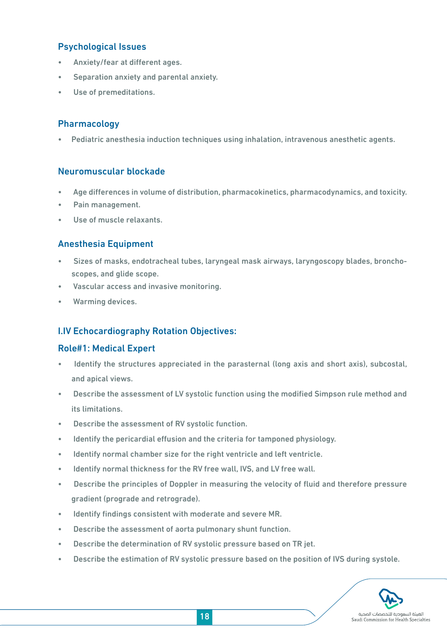## Psychological Issues

- Anxiety/fear at different ages.
- Separation anxiety and parental anxiety.
- Use of premeditations.

### Pharmacology

• Pediatric anesthesia induction techniques using inhalation, intravenous anesthetic agents.

#### Neuromuscular blockade

- Age differences in volume of distribution, pharmacokinetics, pharmacodynamics, and toxicity.
- Pain management.
- Use of muscle relaxants.

## Anesthesia Equipment

- Sizes of masks, endotracheal tubes, laryngeal mask airways, laryngoscopy blades, bronchoscopes, and glide scope.
- Vascular access and invasive monitoring.
- Warming devices.

## I.IV Echocardiography Rotation Objectives:

### Role#1: Medical Expert

- Identify the structures appreciated in the parasternal (long axis and short axis), subcostal, and apical views.
- Describe the assessment of LV systolic function using the modified Simpson rule method and its limitations.
- Describe the assessment of RV systolic function.
- Identify the pericardial effusion and the criteria for tamponed physiology.
- Identify normal chamber size for the right ventricle and left ventricle.
- Identify normal thickness for the RV free wall, IVS, and LV free wall.
- Describe the principles of Doppler in measuring the velocity of fluid and therefore pressure gradient (prograde and retrograde).
- Identify findings consistent with moderate and severe MR.
- Describe the assessment of aorta pulmonary shunt function.
- Describe the determination of RV systolic pressure based on TR jet.
- Describe the estimation of RV systolic pressure based on the position of IVS during systole.

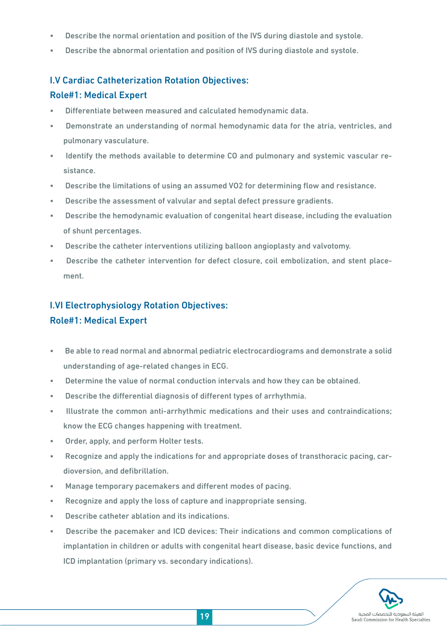- Describe the normal orientation and position of the IVS during diastole and systole.
- Describe the abnormal orientation and position of IVS during diastole and systole.

## I.V Cardiac Catheterization Rotation Objectives:

## Role#1: Medical Expert

- Differentiate between measured and calculated hemodynamic data.
- Demonstrate an understanding of normal hemodynamic data for the atria, ventricles, and pulmonary vasculature.
- Identify the methods available to determine CO and pulmonary and systemic vascular resistance.
- Describe the limitations of using an assumed VO2 for determining flow and resistance.
- Describe the assessment of valvular and septal defect pressure gradients.
- Describe the hemodynamic evaluation of congenital heart disease, including the evaluation of shunt percentages.
- Describe the catheter interventions utilizing balloon angioplasty and valvotomy.
- Describe the catheter intervention for defect closure, coil embolization, and stent placement.

## I.VI Electrophysiology Rotation Objectives: Role#1: Medical Expert

- Be able to read normal and abnormal pediatric electrocardiograms and demonstrate a solid understanding of age-related changes in ECG.
- Determine the value of normal conduction intervals and how they can be obtained.
- Describe the differential diagnosis of different types of arrhythmia.
- Illustrate the common anti-arrhythmic medications and their uses and contraindications; know the ECG changes happening with treatment.
- Order, apply, and perform Holter tests.
- Recognize and apply the indications for and appropriate doses of transthoracic pacing, cardioversion, and defibrillation.
- Manage temporary pacemakers and different modes of pacing.
- Recognize and apply the loss of capture and inappropriate sensing.
- Describe catheter ablation and its indications.
- Describe the pacemaker and ICD devices: Their indications and common complications of implantation in children or adults with congenital heart disease, basic device functions, and ICD implantation (primary vs. secondary indications).

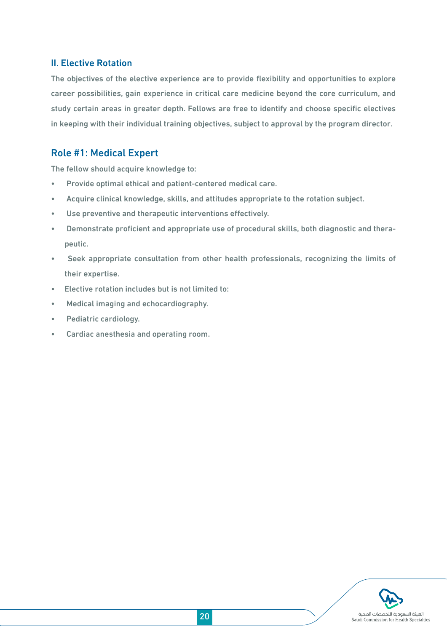### II. Elective Rotation

The objectives of the elective experience are to provide flexibility and opportunities to explore career possibilities, gain experience in critical care medicine beyond the core curriculum, and study certain areas in greater depth. Fellows are free to identify and choose specific electives in keeping with their individual training objectives, subject to approval by the program director.

## Role #1: Medical Expert

The fellow should acquire knowledge to:

- Provide optimal ethical and patient-centered medical care.
- Acquire clinical knowledge, skills, and attitudes appropriate to the rotation subject.
- Use preventive and therapeutic interventions effectively.
- Demonstrate proficient and appropriate use of procedural skills, both diagnostic and therapeutic.
- Seek appropriate consultation from other health professionals, recognizing the limits of their expertise.
- Elective rotation includes but is not limited to:
- Medical imaging and echocardiography.
- Pediatric cardiology.
- Cardiac anesthesia and operating room.

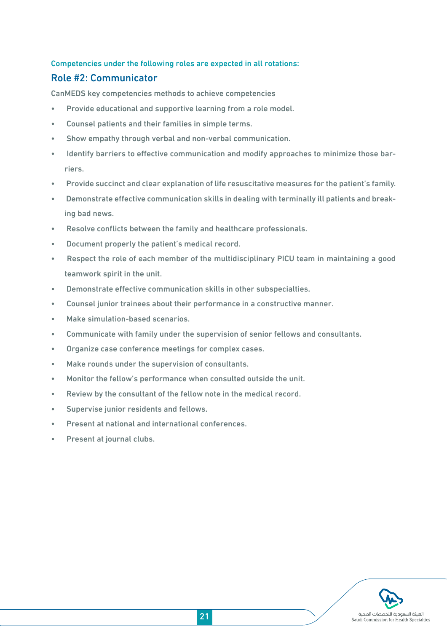## Competencies under the following roles are expected in all rotations:

### Role #2: Communicator

CanMEDS key competencies methods to achieve competencies

- Provide educational and supportive learning from a role model.
- Counsel patients and their families in simple terms.
- Show empathy through verbal and non-verbal communication.
- Identify barriers to effective communication and modify approaches to minimize those barriers.
- Provide succinct and clear explanation of life resuscitative measures for the patient's family.
- Demonstrate effective communication skills in dealing with terminally ill patients and breaking bad news.
- Resolve conflicts between the family and healthcare professionals.
- Document properly the patient's medical record.
- Respect the role of each member of the multidisciplinary PICU team in maintaining a good teamwork spirit in the unit.
- Demonstrate effective communication skills in other subspecialties.
- Counsel junior trainees about their performance in a constructive manner.
- Make simulation-based scenarios.
- Communicate with family under the supervision of senior fellows and consultants.
- Organize case conference meetings for complex cases.
- Make rounds under the supervision of consultants.
- Monitor the fellow's performance when consulted outside the unit.
- Review by the consultant of the fellow note in the medical record.
- Supervise junior residents and fellows.
- Present at national and international conferences.
- Present at journal clubs.

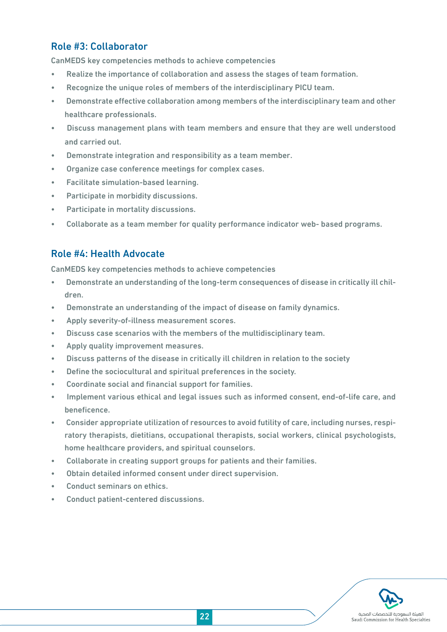## Role #3: Collaborator

CanMEDS key competencies methods to achieve competencies

- Realize the importance of collaboration and assess the stages of team formation.
- Recognize the unique roles of members of the interdisciplinary PICU team.
- Demonstrate effective collaboration among members of the interdisciplinary team and other healthcare professionals.
- Discuss management plans with team members and ensure that they are well understood and carried out.
- Demonstrate integration and responsibility as a team member.
- Organize case conference meetings for complex cases.
- Facilitate simulation-based learning.
- Participate in morbidity discussions.
- Participate in mortality discussions.
- Collaborate as a team member for quality performance indicator web- based programs.

## Role #4: Health Advocate

CanMEDS key competencies methods to achieve competencies

- Demonstrate an understanding of the long-term consequences of disease in critically ill children.
- Demonstrate an understanding of the impact of disease on family dynamics.
- Apply severity-of-illness measurement scores.
- Discuss case scenarios with the members of the multidisciplinary team.
- Apply quality improvement measures.
- Discuss patterns of the disease in critically ill children in relation to the society
- Define the sociocultural and spiritual preferences in the society.
- Coordinate social and financial support for families.
- Implement various ethical and legal issues such as informed consent, end-of-life care, and beneficence.
- Consider appropriate utilization of resources to avoid futility of care, including nurses, respiratory therapists, dietitians, occupational therapists, social workers, clinical psychologists, home healthcare providers, and spiritual counselors.
- Collaborate in creating support groups for patients and their families.
- Obtain detailed informed consent under direct supervision.
- Conduct seminars on ethics.
- Conduct patient-centered discussions.

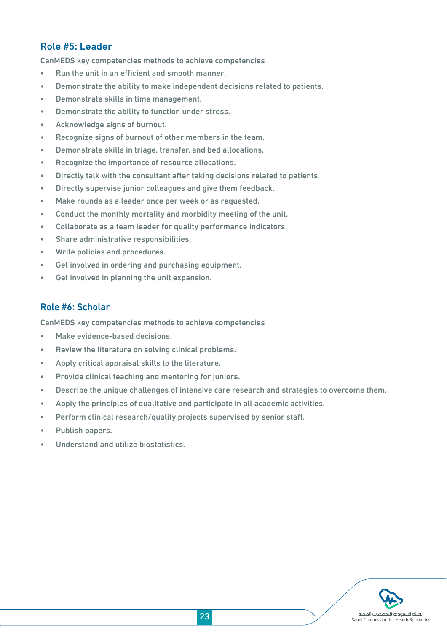## Role #5: Leader

CanMEDS key competencies methods to achieve competencies

- Run the unit in an efficient and smooth manner.
- Demonstrate the ability to make independent decisions related to patients.
- Demonstrate skills in time management.
- Demonstrate the ability to function under stress.
- Acknowledge signs of burnout.
- Recognize signs of burnout of other members in the team.
- Demonstrate skills in triage, transfer, and bed allocations.
- Recognize the importance of resource allocations.
- Directly talk with the consultant after taking decisions related to patients.
- Directly supervise junior colleagues and give them feedback.
- Make rounds as a leader once per week or as requested.
- Conduct the monthly mortality and morbidity meeting of the unit.
- Collaborate as a team leader for quality performance indicators.
- Share administrative responsibilities.
- Write policies and procedures.
- Get involved in ordering and purchasing equipment.
- Get involved in planning the unit expansion.

## Role #6: Scholar

CanMEDS key competencies methods to achieve competencies

- Make evidence-based decisions.
- Review the literature on solving clinical problems.
- Apply critical appraisal skills to the literature.
- Provide clinical teaching and mentoring for juniors.
- Describe the unique challenges of intensive care research and strategies to overcome them.
- Apply the principles of qualitative and participate in all academic activities.
- Perform clinical research/quality projects supervised by senior staff.
- Publish papers.
- Understand and utilize biostatistics.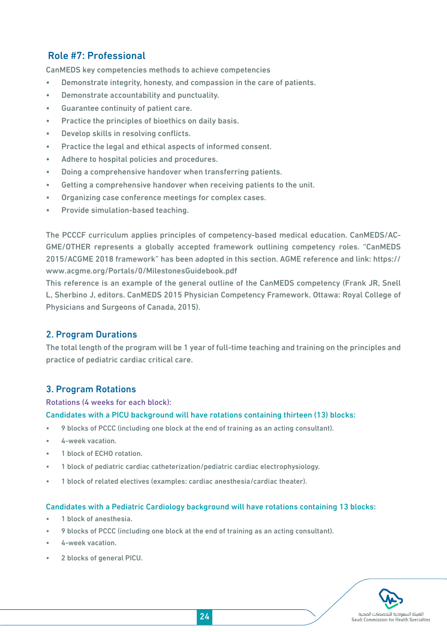## Role #7: Professional

CanMEDS key competencies methods to achieve competencies

- Demonstrate integrity, honesty, and compassion in the care of patients.
- Demonstrate accountability and punctuality.
- Guarantee continuity of patient care.
- Practice the principles of bioethics on daily basis.
- Develop skills in resolving conflicts.
- Practice the legal and ethical aspects of informed consent.
- Adhere to hospital policies and procedures.
- Doing a comprehensive handover when transferring patients.
- Getting a comprehensive handover when receiving patients to the unit.
- Organizing case conference meetings for complex cases.
- Provide simulation-based teaching.

The PCCCF curriculum applies principles of competency-based medical education. CanMEDS/AC-GME/OTHER represents a globally accepted framework outlining competency roles. "CanMEDS 2015/ACGME 2018 framework" has been adopted in this section. AGME reference and link: https:// www.acgme.org/Portals/0/MilestonesGuidebook.pdf

This reference is an example of the general outline of the CanMEDS competency (Frank JR, Snell L, Sherbino J, editors. CanMEDS 2015 Physician Competency Framework. Ottawa: Royal College of Physicians and Surgeons of Canada, 2015).

## 2. Program Durations

The total length of the program will be 1 year of full-time teaching and training on the principles and practice of pediatric cardiac critical care.

## 3. Program Rotations

#### Rotations (4 weeks for each block):

#### Candidates with a PICU background will have rotations containing thirteen (13) blocks:

- 9 blocks of PCCC (including one block at the end of training as an acting consultant).
- 4-week vacation.
- 1 block of ECHO rotation.
- 1 block of pediatric cardiac catheterization/pediatric cardiac electrophysiology.
- 1 block of related electives (examples: cardiac anesthesia/cardiac theater).

#### Candidates with a Pediatric Cardiology background will have rotations containing 13 blocks:

- 1 block of anesthesia.
- 9 blocks of PCCC (including one block at the end of training as an acting consultant).
- 4-week vacation.
- 2 blocks of general PICU.

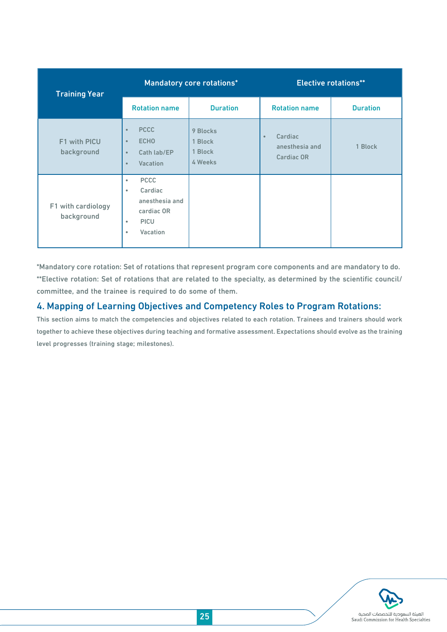| <b>Training Year</b>             |                                                                                                                       | Mandatory core rotations*                 | <b>Elective rotations**</b>                                 |                 |  |
|----------------------------------|-----------------------------------------------------------------------------------------------------------------------|-------------------------------------------|-------------------------------------------------------------|-----------------|--|
|                                  | <b>Rotation name</b>                                                                                                  | <b>Duration</b>                           | <b>Rotation name</b>                                        | <b>Duration</b> |  |
| F1 with PICU<br>background       | <b>PCCC</b><br>$\bullet$<br><b>ECHO</b><br>$\bullet$<br>Cath lab/EP<br>$\bullet$<br>Vacation<br>$\bullet$             | 9 Blocks<br>1 Block<br>1 Block<br>4 Weeks | Cardiac<br>$\bullet$<br>anesthesia and<br><b>Cardiac OR</b> | 1 Block         |  |
| F1 with cardiology<br>background | <b>PCCC</b><br>$\bullet$<br>Cardiac<br>٠<br>anesthesia and<br>cardiac OR<br><b>PICU</b><br>٠<br>Vacation<br>$\bullet$ |                                           |                                                             |                 |  |

\*Mandatory core rotation: Set of rotations that represent program core components and are mandatory to do. \*\*Elective rotation: Set of rotations that are related to the specialty, as determined by the scientific council/ committee, and the trainee is required to do some of them.

## 4. Mapping of Learning Objectives and Competency Roles to Program Rotations:

This section aims to match the competencies and objectives related to each rotation. Trainees and trainers should work together to achieve these objectives during teaching and formative assessment. Expectations should evolve as the training level progresses (training stage; milestones).

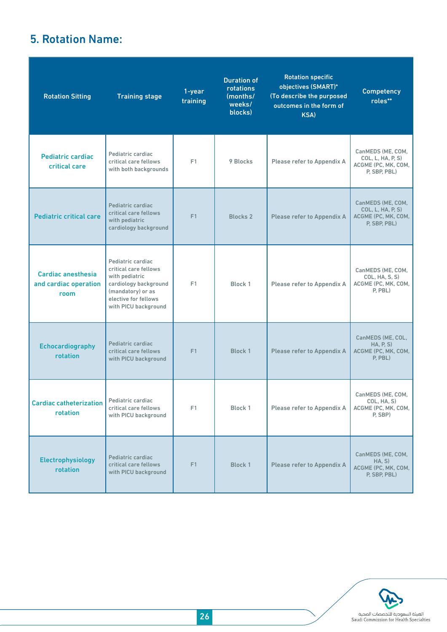## 5. Rotation Name:

| <b>Rotation Sitting</b>                                    | <b>Training stage</b>                                                                                                                                      | 1-year<br>training    | <b>Duration of</b><br>rotations<br>(months/<br>weeks/<br>blocks) | <b>Rotation specific</b><br>objectives (SMART)*<br>(To describe the purposed<br>outcomes in the form of<br>KSA) | <b>Competency</b><br>roles**                                                  |
|------------------------------------------------------------|------------------------------------------------------------------------------------------------------------------------------------------------------------|-----------------------|------------------------------------------------------------------|-----------------------------------------------------------------------------------------------------------------|-------------------------------------------------------------------------------|
| Pediatric cardiac<br>critical care                         | Pediatric cardiac<br>critical care fellows<br>with both backgrounds                                                                                        | F1                    | 9 Blocks                                                         | Please refer to Appendix A                                                                                      | CanMEDS (ME, COM,<br>COL, L, HA, P, S)<br>ACGME (PC, MK, COM,<br>P, SBP, PBL) |
| <b>Pediatric critical care</b>                             | Pediatric cardiac<br>critical care fellows<br>with pediatric<br>cardiology background                                                                      | F1<br><b>Blocks 2</b> |                                                                  | Please refer to Appendix A                                                                                      | CanMEDS (ME, COM,<br>COL, L, HA, P, S)<br>ACGME (PC, MK, COM,<br>P, SBP, PBL) |
| <b>Cardiac anesthesia</b><br>and cardiac operation<br>room | Pediatric cardiac<br>critical care fellows<br>with pediatric<br>cardiology background<br>(mandatory) or as<br>elective for fellows<br>with PICU background | F1                    | Block 1                                                          | Please refer to Appendix A                                                                                      | CanMEDS (ME, COM,<br>COL, HA, S, S)<br>ACGME (PC, MK, COM,<br>P, PBL)         |
| <b>Echocardiography</b><br>rotation                        | Pediatric cardiac<br>critical care fellows<br>with PICU background                                                                                         | F1<br><b>Block 1</b>  |                                                                  | Please refer to Appendix A                                                                                      | CanMEDS (ME, COL,<br>HA, P, S)<br>ACGME (PC, MK, COM,<br>$P$ , $PBL$ )        |
| <b>Cardiac catheterization</b><br>rotation                 | Pediatric cardiac<br>critical care fellows<br>with PICU background                                                                                         | F1                    | Block 1                                                          | Please refer to Appendix A                                                                                      | CanMEDS (ME, COM,<br>COL, HA, S)<br>ACGME (PC, MK, COM,<br>P, SBP)            |
| Electrophysiology<br>rotation                              | Pediatric cardiac<br>critical care fellows<br>with PICU background                                                                                         | F1                    | <b>Block 1</b>                                                   | Please refer to Appendix A                                                                                      | CanMEDS (ME, COM,<br>HA, S)<br>ACGME (PC, MK, COM,<br>P, SBP, PBL)            |

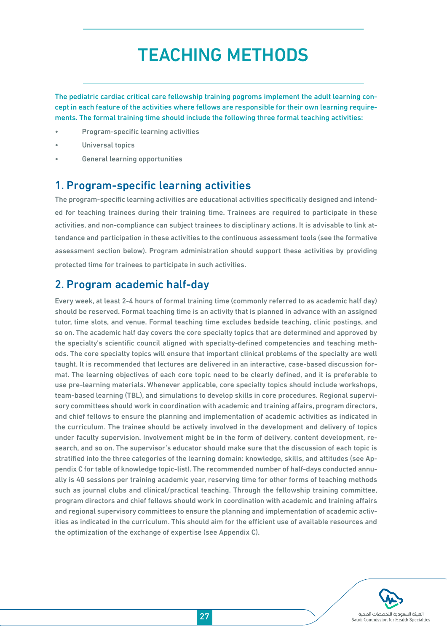## TEACHING METHODS

The pediatric cardiac critical care fellowship training pogroms implement the adult learning concept in each feature of the activities where fellows are responsible for their own learning requirements. The formal training time should include the following three formal teaching activities:

- Program-specific learning activities
- Universal topics
- General learning opportunities

## 1. Program-specific learning activities

The program-specific learning activities are educational activities specifically designed and intended for teaching trainees during their training time. Trainees are required to participate in these activities, and non-compliance can subject trainees to disciplinary actions. It is advisable to link attendance and participation in these activities to the continuous assessment tools (see the formative assessment section below). Program administration should support these activities by providing protected time for trainees to participate in such activities.

## 2. Program academic half-day

Every week, at least 2-4 hours of formal training time (commonly referred to as academic half day) should be reserved. Formal teaching time is an activity that is planned in advance with an assigned tutor, time slots, and venue. Formal teaching time excludes bedside teaching, clinic postings, and so on. The academic half day covers the core specialty topics that are determined and approved by the specialty's scientific council aligned with specialty-defined competencies and teaching methods. The core specialty topics will ensure that important clinical problems of the specialty are well taught. It is recommended that lectures are delivered in an interactive, case-based discussion format. The learning objectives of each core topic need to be clearly defined, and it is preferable to use pre-learning materials. Whenever applicable, core specialty topics should include workshops, team-based learning (TBL), and simulations to develop skills in core procedures. Regional supervisory committees should work in coordination with academic and training affairs, program directors, and chief fellows to ensure the planning and implementation of academic activities as indicated in the curriculum. The trainee should be actively involved in the development and delivery of topics under faculty supervision. Involvement might be in the form of delivery, content development, research, and so on. The supervisor's educator should make sure that the discussion of each topic is stratified into the three categories of the learning domain: knowledge, skills, and attitudes (see Appendix C for table of knowledge topic-list). The recommended number of half-days conducted annually is 40 sessions per training academic year, reserving time for other forms of teaching methods such as journal clubs and clinical/practical teaching. Through the fellowship training committee, program directors and chief fellows should work in coordination with academic and training affairs and regional supervisory committees to ensure the planning and implementation of academic activities as indicated in the curriculum. This should aim for the efficient use of available resources and the optimization of the exchange of expertise (see Appendix C).

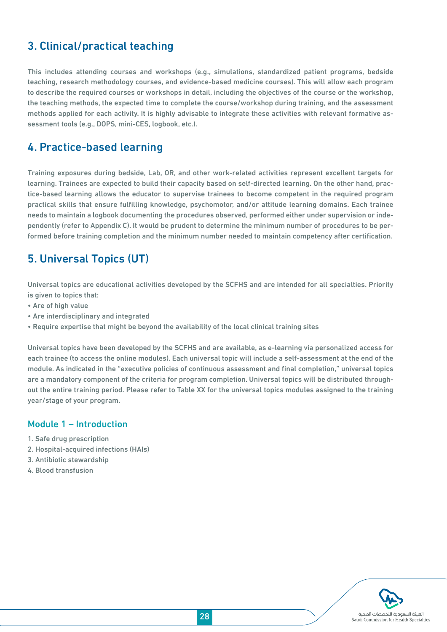## 3. Clinical/practical teaching

This includes attending courses and workshops (e.g., simulations, standardized patient programs, bedside teaching, research methodology courses, and evidence-based medicine courses). This will allow each program to describe the required courses or workshops in detail, including the objectives of the course or the workshop, the teaching methods, the expected time to complete the course/workshop during training, and the assessment methods applied for each activity. It is highly advisable to integrate these activities with relevant formative assessment tools (e.g., DOPS, mini-CES, logbook, etc.).

## 4. Practice-based learning

Training exposures during bedside, Lab, OR, and other work-related activities represent excellent targets for learning. Trainees are expected to build their capacity based on self-directed learning. On the other hand, practice-based learning allows the educator to supervise trainees to become competent in the required program practical skills that ensure fulfilling knowledge, psychomotor, and/or attitude learning domains. Each trainee needs to maintain a logbook documenting the procedures observed, performed either under supervision or independently (refer to Appendix C). It would be prudent to determine the minimum number of procedures to be performed before training completion and the minimum number needed to maintain competency after certification.

## 5. Universal Topics (UT)

Universal topics are educational activities developed by the SCFHS and are intended for all specialties. Priority is given to topics that:

- Are of high value
- Are interdisciplinary and integrated
- Require expertise that might be beyond the availability of the local clinical training sites

Universal topics have been developed by the SCFHS and are available, as e-learning via personalized access for each trainee (to access the online modules). Each universal topic will include a self-assessment at the end of the module. As indicated in the "executive policies of continuous assessment and final completion," universal topics are a mandatory component of the criteria for program completion. Universal topics will be distributed throughout the entire training period. Please refer to Table XX for the universal topics modules assigned to the training year/stage of your program.

### Module 1 – Introduction

- 1. Safe drug prescription
- 2. Hospital-acquired infections (HAIs)
- 3. Antibiotic stewardship
- 4. Blood transfusion

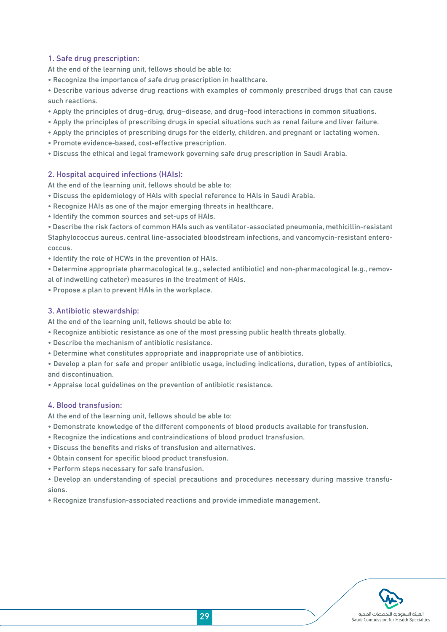#### 1. Safe drug prescription:

At the end of the learning unit, fellows should be able to:

• Recognize the importance of safe drug prescription in healthcare.

• Describe various adverse drug reactions with examples of commonly prescribed drugs that can cause such reactions.

- Apply the principles of drug–drug, drug–disease, and drug–food interactions in common situations.
- Apply the principles of prescribing drugs in special situations such as renal failure and liver failure.
- Apply the principles of prescribing drugs for the elderly, children, and pregnant or lactating women.
- Promote evidence-based, cost-effective prescription.
- Discuss the ethical and legal framework governing safe drug prescription in Saudi Arabia.

#### 2. Hospital acquired infections (HAIs):

At the end of the learning unit, fellows should be able to:

- Discuss the epidemiology of HAIs with special reference to HAIs in Saudi Arabia.
- Recognize HAIs as one of the major emerging threats in healthcare.
- Identify the common sources and set-ups of HAIs.

• Describe the risk factors of common HAIs such as ventilator-associated pneumonia, methicillin-resistant Staphylococcus aureus, central line-associated bloodstream infections, and vancomycin-resistant enterococcus.

• Identify the role of HCWs in the prevention of HAIs.

• Determine appropriate pharmacological (e.g., selected antibiotic) and non-pharmacological (e.g., removal of indwelling catheter) measures in the treatment of HAIs.

• Propose a plan to prevent HAIs in the workplace.

#### 3. Antibiotic stewardship:

At the end of the learning unit, fellows should be able to:

- Recognize antibiotic resistance as one of the most pressing public health threats globally.
- Describe the mechanism of antibiotic resistance.
- Determine what constitutes appropriate and inappropriate use of antibiotics.

• Develop a plan for safe and proper antibiotic usage, including indications, duration, types of antibiotics, and discontinuation.

• Appraise local guidelines on the prevention of antibiotic resistance.

#### 4. Blood transfusion:

At the end of the learning unit, fellows should be able to:

- Demonstrate knowledge of the different components of blood products available for transfusion.
- Recognize the indications and contraindications of blood product transfusion.
- Discuss the benefits and risks of transfusion and alternatives.
- Obtain consent for specific blood product transfusion.
- Perform steps necessary for safe transfusion.

• Develop an understanding of special precautions and procedures necessary during massive transfusions.

• Recognize transfusion-associated reactions and provide immediate management.

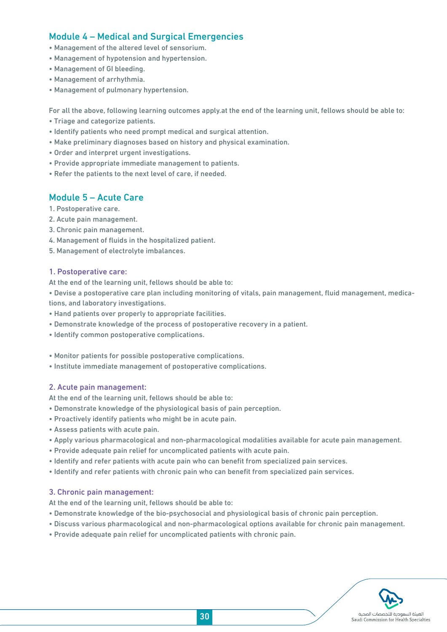## Module 4 – Medical and Surgical Emergencies

- Management of the altered level of sensorium.
- Management of hypotension and hypertension.
- Management of GI bleeding.
- Management of arrhythmia.
- Management of pulmonary hypertension.

For all the above, following learning outcomes apply.at the end of the learning unit, fellows should be able to:

- Triage and categorize patients.
- Identify patients who need prompt medical and surgical attention.
- Make preliminary diagnoses based on history and physical examination.
- Order and interpret urgent investigations.
- Provide appropriate immediate management to patients.
- Refer the patients to the next level of care, if needed.

#### Module 5 – Acute Care

- 1. Postoperative care.
- 2. Acute pain management.
- 3. Chronic pain management.
- 4. Management of fluids in the hospitalized patient.
- 5. Management of electrolyte imbalances.

#### 1. Postoperative care:

At the end of the learning unit, fellows should be able to:

• Devise a postoperative care plan including monitoring of vitals, pain management, fluid management, medications, and laboratory investigations.

- Hand patients over properly to appropriate facilities.
- Demonstrate knowledge of the process of postoperative recovery in a patient.
- Identify common postoperative complications.
- Monitor patients for possible postoperative complications.
- Institute immediate management of postoperative complications.

#### 2. Acute pain management:

At the end of the learning unit, fellows should be able to:

- Demonstrate knowledge of the physiological basis of pain perception.
- Proactively identify patients who might be in acute pain.
- Assess patients with acute pain.
- Apply various pharmacological and non-pharmacological modalities available for acute pain management.
- Provide adequate pain relief for uncomplicated patients with acute pain.
- Identify and refer patients with acute pain who can benefit from specialized pain services.
- Identify and refer patients with chronic pain who can benefit from specialized pain services.

#### 3. Chronic pain management:

At the end of the learning unit, fellows should be able to:

- Demonstrate knowledge of the bio-psychosocial and physiological basis of chronic pain perception.
- Discuss various pharmacological and non-pharmacological options available for chronic pain management.
- Provide adequate pain relief for uncomplicated patients with chronic pain.

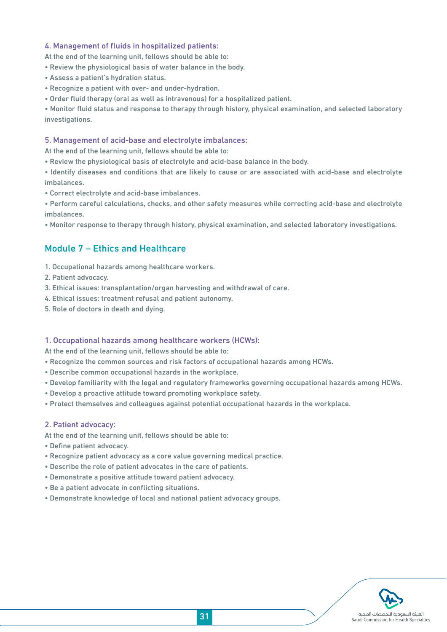#### 4. Management of fluids in hospitalized patients:

At the end of the learning unit, fellows should be able to:

- Review the physiological basis of water balance in the body.
- Assess a patient's hydration status.
- Recognize a patient with over- and under-hydration.
- Order fluid therapy (oral as well as intravenous) for a hospitalized patient.

• Monitor fluid status and response to therapy through history, physical examination, and selected laboratory investigations.

#### 5. Management of acid-base and electrolyte imbalances:

At the end of the learning unit, fellows should be able to:

- Review the physiological basis of electrolyte and acid-base balance in the body.
- Identify diseases and conditions that are likely to cause or are associated with acid-base and electrolyte imbalances.
- Correct electrolyte and acid-base imbalances.

• Perform careful calculations, checks, and other safety measures while correcting acid-base and electrolyte imbalances.

• Monitor response to therapy through history, physical examination, and selected laboratory investigations.

## Module 7 – Ethics and Healthcare

- 1. Occupational hazards among healthcare workers.
- 2. Patient advocacy.
- 3. Ethical issues: transplantation/organ harvesting and withdrawal of care.
- 4. Ethical issues: treatment refusal and patient autonomy.
- 5. Role of doctors in death and dying.

#### 1. Occupational hazards among healthcare workers (HCWs):

At the end of the learning unit, fellows should be able to:

- Recognize the common sources and risk factors of occupational hazards among HCWs.
- Describe common occupational hazards in the workplace.
- Develop familiarity with the legal and regulatory frameworks governing occupational hazards among HCWs.
- Develop a proactive attitude toward promoting workplace safety.
- Protect themselves and colleagues against potential occupational hazards in the workplace.

#### 2. Patient advocacy:

At the end of the learning unit, fellows should be able to:

- Define patient advocacy.
- Recognize patient advocacy as a core value governing medical practice.
- Describe the role of patient advocates in the care of patients.
- Demonstrate a positive attitude toward patient advocacy.
- Be a patient advocate in conflicting situations.
- Demonstrate knowledge of local and national patient advocacy groups.

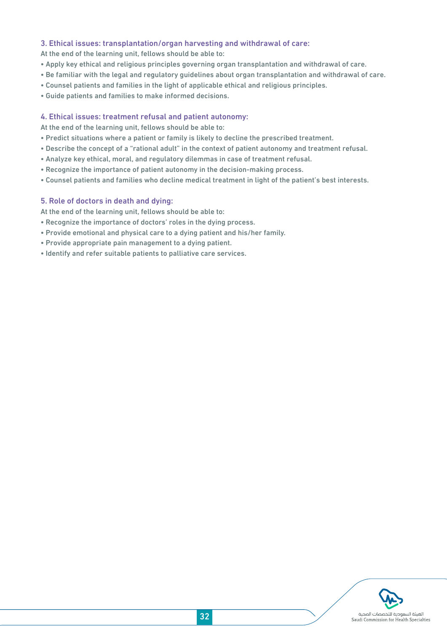#### 3. Ethical issues: transplantation/organ harvesting and withdrawal of care:

At the end of the learning unit, fellows should be able to:

- Apply key ethical and religious principles governing organ transplantation and withdrawal of care.
- Be familiar with the legal and regulatory guidelines about organ transplantation and withdrawal of care.
- Counsel patients and families in the light of applicable ethical and religious principles.
- Guide patients and families to make informed decisions.

#### 4. Ethical issues: treatment refusal and patient autonomy:

At the end of the learning unit, fellows should be able to:

- Predict situations where a patient or family is likely to decline the prescribed treatment.
- Describe the concept of a "rational adult" in the context of patient autonomy and treatment refusal.
- Analyze key ethical, moral, and regulatory dilemmas in case of treatment refusal.
- Recognize the importance of patient autonomy in the decision-making process.
- Counsel patients and families who decline medical treatment in light of the patient's best interests.

#### 5. Role of doctors in death and dying:

At the end of the learning unit, fellows should be able to:

- Recognize the importance of doctors' roles in the dying process.
- Provide emotional and physical care to a dying patient and his/her family.
- Provide appropriate pain management to a dying patient.
- Identify and refer suitable patients to palliative care services.

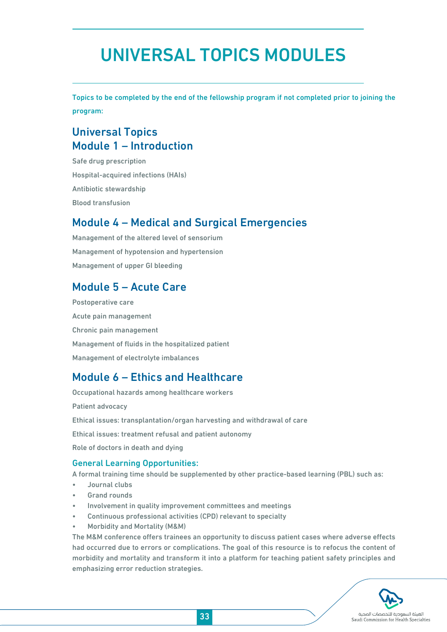## UNIVERSAL TOPICS MODULES

Topics to be completed by the end of the fellowship program if not completed prior to joining the program:

## Universal Topics Module 1 – Introduction

Safe drug prescription Hospital-acquired infections (HAIs) Antibiotic stewardship Blood transfusion

## Module 4 – Medical and Surgical Emergencies

Management of the altered level of sensorium Management of hypotension and hypertension Management of upper GI bleeding

## Module 5 – Acute Care

Postoperative care Acute pain management Chronic pain management Management of fluids in the hospitalized patient Management of electrolyte imbalances

## Module 6 – Ethics and Healthcare

Occupational hazards among healthcare workers Patient advocacy Ethical issues: transplantation/organ harvesting and withdrawal of care Ethical issues: treatment refusal and patient autonomy Role of doctors in death and dying

### General Learning Opportunities:

A formal training time should be supplemented by other practice-based learning (PBL) such as:

- Journal clubs
- Grand rounds
- Involvement in quality improvement committees and meetings
- Continuous professional activities (CPD) relevant to specialty
- Morbidity and Mortality (M&M)

The M&M conference offers trainees an opportunity to discuss patient cases where adverse effects had occurred due to errors or complications. The goal of this resource is to refocus the content of morbidity and mortality and transform it into a platform for teaching patient safety principles and emphasizing error reduction strategies.

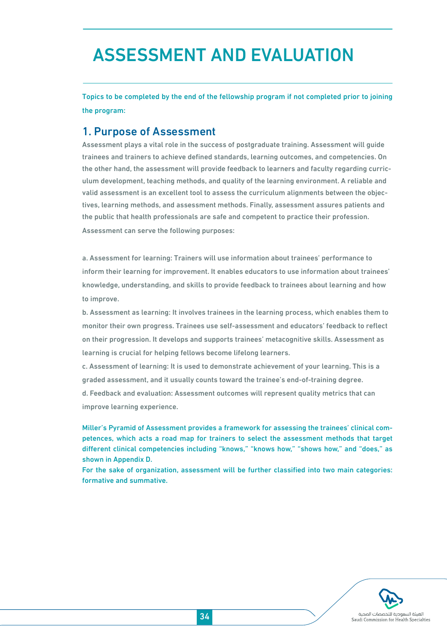## ASSESSMENT AND EVALUATION

Topics to be completed by the end of the fellowship program if not completed prior to joining the program:

## 1. Purpose of Assessment

Assessment plays a vital role in the success of postgraduate training. Assessment will guide trainees and trainers to achieve defined standards, learning outcomes, and competencies. On the other hand, the assessment will provide feedback to learners and faculty regarding curriculum development, teaching methods, and quality of the learning environment. A reliable and valid assessment is an excellent tool to assess the curriculum alignments between the objectives, learning methods, and assessment methods. Finally, assessment assures patients and the public that health professionals are safe and competent to practice their profession. Assessment can serve the following purposes:

a. Assessment for learning: Trainers will use information about trainees' performance to inform their learning for improvement. It enables educators to use information about trainees' knowledge, understanding, and skills to provide feedback to trainees about learning and how to improve.

b. Assessment as learning: It involves trainees in the learning process, which enables them to monitor their own progress. Trainees use self-assessment and educators' feedback to reflect on their progression. It develops and supports trainees' metacognitive skills. Assessment as learning is crucial for helping fellows become lifelong learners.

c. Assessment of learning: It is used to demonstrate achievement of your learning. This is a graded assessment, and it usually counts toward the trainee's end-of-training degree.

d. Feedback and evaluation: Assessment outcomes will represent quality metrics that can improve learning experience.

Miller's Pyramid of Assessment provides a framework for assessing the trainees' clinical competences, which acts a road map for trainers to select the assessment methods that target different clinical competencies including "knows," "knows how," "shows how," and "does," as shown in Appendix D.

For the sake of organization, assessment will be further classified into two main categories: formative and summative.

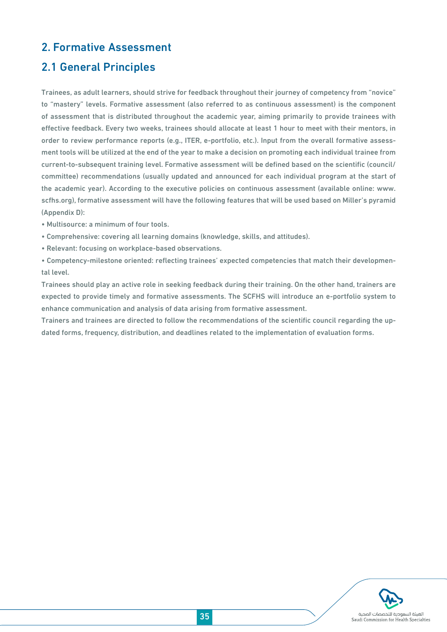## 2. Formative Assessment

## 2.1 General Principles

Trainees, as adult learners, should strive for feedback throughout their journey of competency from "novice" to "mastery" levels. Formative assessment (also referred to as continuous assessment) is the component of assessment that is distributed throughout the academic year, aiming primarily to provide trainees with effective feedback. Every two weeks, trainees should allocate at least 1 hour to meet with their mentors, in order to review performance reports (e.g., ITER, e-portfolio, etc.). Input from the overall formative assessment tools will be utilized at the end of the year to make a decision on promoting each individual trainee from current-to-subsequent training level. Formative assessment will be defined based on the scientific (council/ committee) recommendations (usually updated and announced for each individual program at the start of the academic year). According to the executive policies on continuous assessment (available online: www. scfhs.org), formative assessment will have the following features that will be used based on Miller's pyramid (Appendix D):

- Multisource: a minimum of four tools.
- Comprehensive: covering all learning domains (knowledge, skills, and attitudes).
- Relevant: focusing on workplace-based observations.

• Competency-milestone oriented: reflecting trainees' expected competencies that match their developmental level.

Trainees should play an active role in seeking feedback during their training. On the other hand, trainers are expected to provide timely and formative assessments. The SCFHS will introduce an e-portfolio system to enhance communication and analysis of data arising from formative assessment.

Trainers and trainees are directed to follow the recommendations of the scientific council regarding the updated forms, frequency, distribution, and deadlines related to the implementation of evaluation forms.

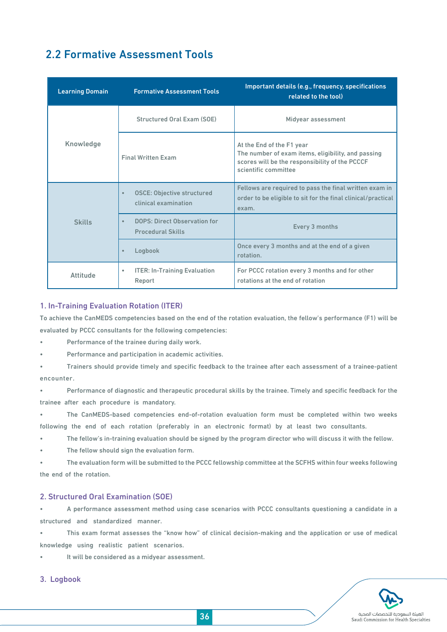## 2.2 Formative Assessment Tools

| <b>Learning Domain</b> | <b>Formative Assessment Tools</b>                                            | Important details (e.g., frequency, specifications<br>related to the tool)                                                                                |  |
|------------------------|------------------------------------------------------------------------------|-----------------------------------------------------------------------------------------------------------------------------------------------------------|--|
|                        | Structured Oral Exam (SOE)                                                   | Midyear assessment                                                                                                                                        |  |
| Knowledge              | <b>Final Written Exam</b>                                                    | At the End of the F1 year<br>The number of exam items, eligibility, and passing<br>scores will be the responsibility of the PCCCF<br>scientific committee |  |
|                        | <b>OSCE: Objective structured</b><br>$\bullet$<br>clinical examination       | Fellows are required to pass the final written exam in<br>order to be eligible to sit for the final clinical/practical<br>exam.                           |  |
| <b>Skills</b>          | <b>DOPS: Direct Observation for</b><br>$\bullet$<br><b>Procedural Skills</b> | Every 3 months                                                                                                                                            |  |
|                        | Logbook<br>$\bullet$                                                         | Once every 3 months and at the end of a given<br>rotation.                                                                                                |  |
| Attitude               | <b>ITER: In-Training Evaluation</b><br>$\bullet$<br>Report                   | For PCCC rotation every 3 months and for other<br>rotations at the end of rotation                                                                        |  |

#### 1. In-Training Evaluation Rotation (ITER)

To achieve the CanMEDS competencies based on the end of the rotation evaluation, the fellow's performance (F1) will be evaluated by PCCC consultants for the following competencies:

• Performance of the trainee during daily work.

Performance and participation in academic activities.

• Trainers should provide timely and specific feedback to the trainee after each assessment of a trainee-patient encounter.

• Performance of diagnostic and therapeutic procedural skills by the trainee. Timely and specific feedback for the trainee after each procedure is mandatory.

• The CanMEDS-based competencies end-of-rotation evaluation form must be completed within two weeks following the end of each rotation (preferably in an electronic format) by at least two consultants.

• The fellow's in-training evaluation should be signed by the program director who will discuss it with the fellow.

The fellow should sign the evaluation form.

• The evaluation form will be submitted to the PCCC fellowship committee at the SCFHS within four weeks following the end of the rotation.

#### 2. Structured Oral Examination (SOE)

• A performance assessment method using case scenarios with PCCC consultants questioning a candidate in a structured and standardized manner.

• This exam format assesses the "know how" of clinical decision-making and the application or use of medical knowledge using realistic patient scenarios.

It will be considered as a midyear assessment.

#### 3. Logbook

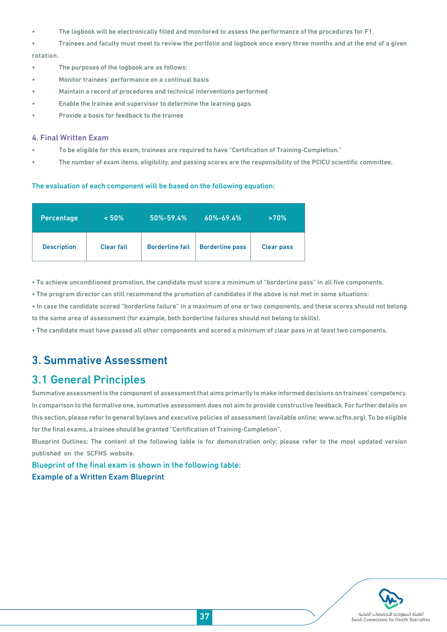- The logbook will be electronically filled and monitored to assess the performance of the procedures for F1.
- Trainees and faculty must meet to review the portfolio and logbook once every three months and at the end of a given rotation.
- The purposes of the logbook are as follows:
- Monitor trainees' performance on a continual basis
- Maintain a record of procedures and technical interventions performed
- Enable the trainee and supervisor to determine the learning gaps
- Provide a basis for feedback to the trainee

#### 4. Final Written Exam

- To be eligible for this exam, trainees are required to have "Certification of Training-Completion."
- The number of exam items, eligibility, and passing scores are the responsibility of the PCICU scientific committee.

#### The evaluation of each component will be based on the following equation:

| <b>Percentage</b>  | < 50%             | 50%-59.4%              | 60%-69.4%              | >70%              |
|--------------------|-------------------|------------------------|------------------------|-------------------|
| <b>Description</b> | <b>Clear fail</b> | <b>Borderline fail</b> | <b>Borderline pass</b> | <b>Clear pass</b> |

• To achieve unconditioned promotion, the candidate must score a minimum of "borderline pass" in all five components.

• The program director can still recommend the promotion of candidates if the above is not met in some situations:

• In case the candidate scored "borderline failure" in a maximum of one or two components, and these scores should not belong to the same area of assessment (for example, both borderline failures should not belong to skills).

• The candidate must have passed all other components and scored a minimum of clear pass in at least two components.

## 3. Summative Assessment

## 3.1 General Principles

Summative assessment is the component of assessment that aims primarily to make informed decisions on trainees' competency. In comparison to the formative one, summative assessment does not aim to provide constructive feedback. For further details on this section, please refer to general bylaws and executive policies of assessment (available online: www.scfhs.org). To be eligible for the final exams, a trainee should be granted "Certification of Training-Completion".

Blueprint Outlines: The content of the following table is for demonstration only; please refer to the most updated version published on the SCFHS website.

Blueprint of the final exam is shown in the following table: Example of a Written Exam Blueprint

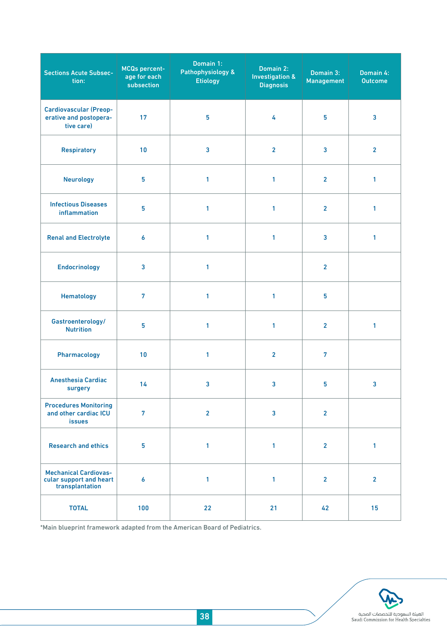| <b>Sections Acute Subsec-</b><br>tion:                                     | <b>MCQs percent-</b><br>age for each<br>subsection | Domain 1:<br>Pathophysiology &<br><b>Etiology</b> | Domain 2:<br><b>Investigation &amp;</b><br><b>Diagnosis</b> | Domain 3:<br><b>Management</b> | Domain 4:<br><b>Outcome</b> |
|----------------------------------------------------------------------------|----------------------------------------------------|---------------------------------------------------|-------------------------------------------------------------|--------------------------------|-----------------------------|
| <b>Cardiovascular (Preop-</b><br>erative and postopera-<br>tive care)      | 17                                                 | 5                                                 | 4                                                           | 5                              | $\overline{\mathbf{3}}$     |
| <b>Respiratory</b>                                                         | 10                                                 | $\overline{\mathbf{3}}$                           | $\overline{2}$                                              | $\overline{3}$                 | $\overline{2}$              |
| <b>Neurology</b>                                                           | 5                                                  | 1                                                 | 1                                                           | $\overline{2}$                 | $\mathbf{1}$                |
| <b>Infectious Diseases</b><br>inflammation                                 | 5                                                  | 1                                                 | 1                                                           | $\overline{2}$                 | 1                           |
| <b>Renal and Electrolyte</b>                                               | $\boldsymbol{6}$                                   | 1                                                 | $\mathbf{1}$                                                | 3                              | $\mathbf{1}$                |
| <b>Endocrinology</b>                                                       | $\overline{\mathbf{3}}$                            | 1                                                 |                                                             | $\overline{2}$                 |                             |
| <b>Hematology</b>                                                          | $\overline{7}$                                     | 1                                                 | $\mathbf{1}$                                                | 5                              |                             |
| Gastroenterology/<br><b>Nutrition</b>                                      | 5                                                  | 1                                                 | 1                                                           | $\overline{2}$                 | 1                           |
| Pharmacology                                                               | 10                                                 | 1                                                 | $\overline{2}$                                              | $\overline{7}$                 |                             |
| <b>Anesthesia Cardiac</b><br>surgery                                       | 14                                                 | $\overline{\mathbf{3}}$                           | $\overline{\mathbf{3}}$                                     | $5\phantom{.0}$                | $\overline{\mathbf{3}}$     |
| <b>Procedures Monitoring</b><br>and other cardiac ICU<br><b>issues</b>     | $\overline{7}$                                     | $\overline{2}$                                    | $\overline{\mathbf{3}}$                                     | $\overline{2}$                 |                             |
| <b>Research and ethics</b>                                                 | 5                                                  | 1                                                 | $\mathbf{1}$                                                | $\overline{2}$                 | $\mathbf{1}$                |
| <b>Mechanical Cardiovas-</b><br>cular support and heart<br>transplantation | $\boldsymbol{6}$                                   | 1                                                 | $\mathbf{1}$                                                | 2 <sup>1</sup>                 | $\overline{2}$              |
| <b>TOTAL</b>                                                               | 100                                                | 22                                                | 21                                                          | 42                             | 15 <sub>1</sub>             |

\*Main blueprint framework adapted from the American Board of Pediatrics.

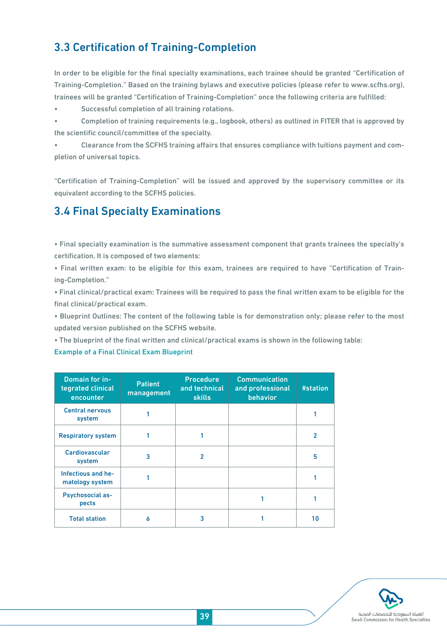## 3.3 Certification of Training-Completion

In order to be eligible for the final specialty examinations, each trainee should be granted "Certification of Training-Completion." Based on the training bylaws and executive policies (please refer to www.scfhs.org), trainees will be granted "Certification of Training-Completion" once the following criteria are fulfilled:

Successful completion of all training rotations.

• Completion of training requirements (e.g., logbook, others) as outlined in FITER that is approved by the scientific council/committee of the specialty.

• Clearance from the SCFHS training affairs that ensures compliance with tuitions payment and completion of universal topics.

"Certification of Training-Completion" will be issued and approved by the supervisory committee or its equivalent according to the SCFHS policies.

## 3.4 Final Specialty Examinations

• Final specialty examination is the summative assessment component that grants trainees the specialty's certification. It is composed of two elements:

• Final written exam: to be eligible for this exam, trainees are required to have "Certification of Training-Completion."

• Final clinical/practical exam: Trainees will be required to pass the final written exam to be eligible for the final clinical/practical exam.

• Blueprint Outlines: The content of the following table is for demonstration only; please refer to the most updated version published on the SCFHS website.

• The blueprint of the final written and clinical/practical exams is shown in the following table:

#### Example of a Final Clinical Exam Blueprint

| Domain for in-<br>tegrated clinical<br>encounter | <b>Patient</b><br>management | <b>Procedure</b><br>and technical<br><b>skills</b> | <b>Communication</b><br>and professional<br>behavior | #station       |
|--------------------------------------------------|------------------------------|----------------------------------------------------|------------------------------------------------------|----------------|
| <b>Central nervous</b><br>system                 |                              |                                                    |                                                      |                |
| <b>Respiratory system</b>                        |                              |                                                    |                                                      | $\overline{2}$ |
| <b>Cardiovascular</b><br>system                  | 3                            | 2                                                  |                                                      | 5              |
| Infectious and he-<br>matology system            |                              |                                                    |                                                      |                |
| <b>Psychosocial as-</b><br>pects                 |                              |                                                    |                                                      |                |
| <b>Total station</b>                             | 6                            | 3                                                  |                                                      | 10             |

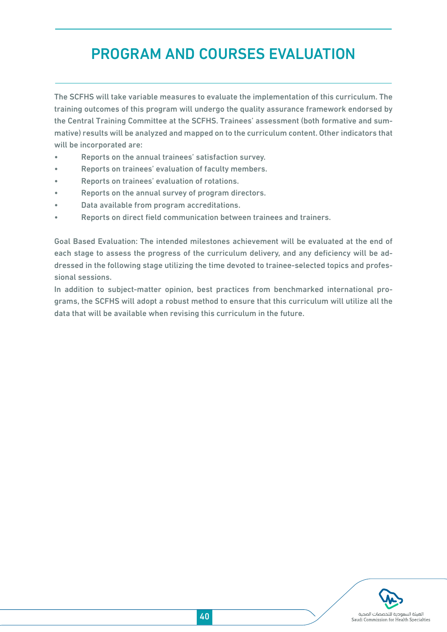## PROGRAM AND COURSES EVALUATION

The SCFHS will take variable measures to evaluate the implementation of this curriculum. The training outcomes of this program will undergo the quality assurance framework endorsed by the Central Training Committee at the SCFHS. Trainees' assessment (both formative and summative) results will be analyzed and mapped on to the curriculum content. Other indicators that will be incorporated are:

- Reports on the annual trainees' satisfaction survey.
- Reports on trainees' evaluation of faculty members.
- Reports on trainees' evaluation of rotations.
- Reports on the annual survey of program directors.
- Data available from program accreditations.
- Reports on direct field communication between trainees and trainers.

Goal Based Evaluation: The intended milestones achievement will be evaluated at the end of each stage to assess the progress of the curriculum delivery, and any deficiency will be addressed in the following stage utilizing the time devoted to trainee-selected topics and professional sessions.

In addition to subject-matter opinion, best practices from benchmarked international programs, the SCFHS will adopt a robust method to ensure that this curriculum will utilize all the data that will be available when revising this curriculum in the future.

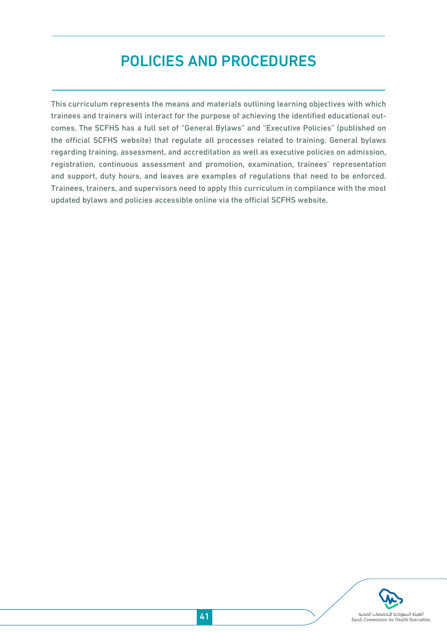## POLICIES AND PROCEDURES

This curriculum represents the means and materials outlining learning objectives with which trainees and trainers will interact for the purpose of achieving the identified educational outcomes. The SCFHS has a full set of "General Bylaws" and "Executive Policies" (published on the official SCFHS website) that regulate all processes related to training. General bylaws regarding training, assessment, and accreditation as well as executive policies on admission, registration, continuous assessment and promotion, examination, trainees' representation and support, duty hours, and leaves are examples of regulations that need to be enforced. Trainees, trainers, and supervisors need to apply this curriculum in compliance with the most updated bylaws and policies accessible online via the official SCFHS website.

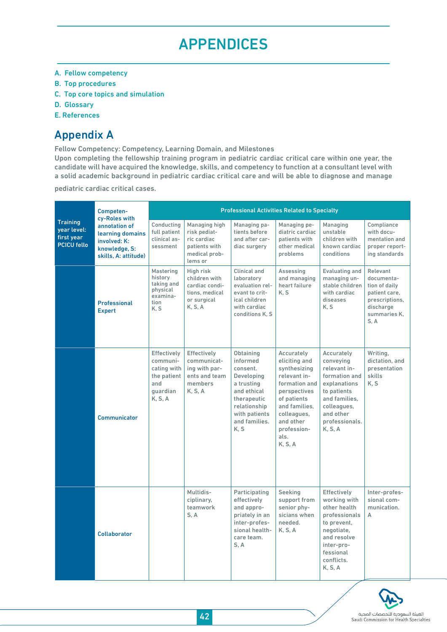## APPENDICES

- A. Fellow competency
- B. Top procedures
- C. Top core topics and simulation
- D. Glossary
- E. References

## Appendix A

Fellow Competency: Competency, Learning Domain, and Milestones

Upon completing the fellowship training program in pediatric cardiac critical care within one year, the candidate will have acquired the knowledge, skills, and competency to function at a consultant level with a solid academic background in pediatric cardiac critical care and will be able to diagnose and manage

pediatric cardiac critical cases.

|                                                                    | Competen-<br>cy-Roles with                                                                 | <b>Professional Activities Related to Specialty</b>                                 |                                                                                           |                                                                                                                                                       |                                                                                                                                                                                            |                                                                                                                                                                   |                                                                                                                |  |
|--------------------------------------------------------------------|--------------------------------------------------------------------------------------------|-------------------------------------------------------------------------------------|-------------------------------------------------------------------------------------------|-------------------------------------------------------------------------------------------------------------------------------------------------------|--------------------------------------------------------------------------------------------------------------------------------------------------------------------------------------------|-------------------------------------------------------------------------------------------------------------------------------------------------------------------|----------------------------------------------------------------------------------------------------------------|--|
| <b>Training</b><br>year level:<br>first year<br><b>PCICU fello</b> | annotation of<br>learning domains<br>involved: K:<br>knowledge, S:<br>skills, A: attitude) | Conductina<br>full patient<br>clinical as-<br>sessment                              | Managing high<br>risk pediat-<br>ric cardiac<br>patients with<br>medical prob-<br>lems or | Managing pa-<br>tients before<br>and after car-<br>diac surgery                                                                                       | Managing pe-<br>diatric cardiac<br>patients with<br>other medical<br>problems                                                                                                              | Managing<br>unstable<br>children with<br>known cardiac<br>conditions                                                                                              | Compliance<br>with docu-<br>mentation and<br>proper report-<br>ing standards                                   |  |
|                                                                    | <b>Professional</b><br><b>Expert</b>                                                       | Mastering<br>history<br>taking and<br>physical<br>examina-<br>tion<br>K.S           | High risk<br>children with<br>cardiac condi-<br>tions, medical<br>or surgical<br>K, S, A  | Clinical and<br>laboratory<br>evaluation rel-<br>evant to crit-<br>ical children<br>with cardiac<br>conditions K.S.                                   | Assessing<br>and managing<br>heart failure<br>K, S                                                                                                                                         | Evaluating and<br>managing un-<br>stable children<br>with cardiac<br>diseases<br>K.S                                                                              | Relevant<br>documenta-<br>tion of daily<br>patient care,<br>prescriptions,<br>discharge<br>summaries K.<br>S.A |  |
|                                                                    | Communicator                                                                               | Effectively<br>communi-<br>cating with<br>the patient<br>and<br>quardian<br>K, S, A | Effectively<br>communicat-<br>ing with par-<br>ents and team<br>members<br>K, S, A        | Obtaining<br>informed<br>consent.<br>Developing<br>a trusting<br>and ethical<br>therapeutic<br>relationship<br>with patients<br>and families.<br>K, S | Accurately<br>eliciting and<br>synthesizing<br>relevant in-<br>formation and<br>perspectives<br>of patients<br>and families,<br>colleagues,<br>and other<br>profession-<br>als.<br>K, S, A | Accurately<br>conveying<br>relevant in-<br>formation and<br>explanations<br>to patients<br>and families.<br>colleagues,<br>and other<br>professionals.<br>K, S, A | Writing,<br>dictation, and<br>presentation<br>skills<br>K.S                                                    |  |
|                                                                    | <b>Collaborator</b>                                                                        |                                                                                     | Multidis-<br>ciplinary,<br>teamwork<br>S.A                                                | Participating<br>effectively<br>and appro-<br>priately in an<br>inter-profes-<br>sional health-<br>care team.<br>S.A                                  | Seeking<br>support from<br>senior phy-<br>sicians when<br>needed.<br>K, S, A                                                                                                               | Effectively<br>working with<br>other health<br>professionals<br>to prevent,<br>negotiate.<br>and resolve<br>inter-pro-<br>fessional<br>conflicts.<br>K, S, A      | Inter-profes-<br>sional com-<br>munication.<br>A                                                               |  |

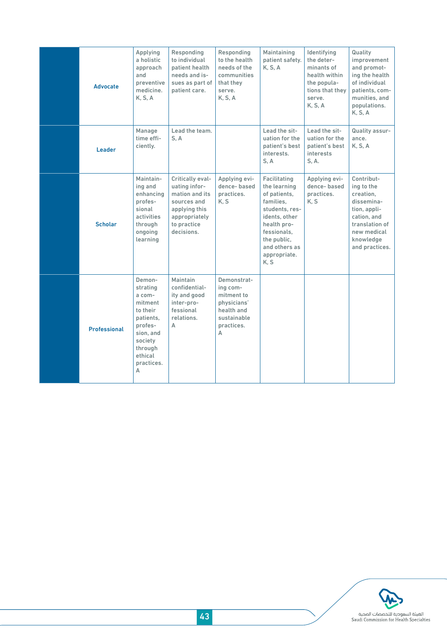| <b>Advocate</b>     | Applying<br>a holistic<br>approach<br>and<br>preventive<br>medicine.<br>K, S, A                                                              | Responding<br>to individual<br>patient health<br>needs and is-<br>sues as part of<br>patient care.                                | Responding<br>to the health<br>needs of the<br>communities<br>that they<br>serve.<br>K, S, A         | Maintaining<br>patient safety.<br>K, S, A                                                                                                                                          | Identifying<br>the deter-<br>minants of<br>health within<br>the popula-<br>tions that they<br>serve.<br>K, S, A | Quality<br>improvement<br>and promot-<br>ing the health<br>of individual<br>patients, com-<br>munities, and<br>populations.<br>K, S, A             |
|---------------------|----------------------------------------------------------------------------------------------------------------------------------------------|-----------------------------------------------------------------------------------------------------------------------------------|------------------------------------------------------------------------------------------------------|------------------------------------------------------------------------------------------------------------------------------------------------------------------------------------|-----------------------------------------------------------------------------------------------------------------|----------------------------------------------------------------------------------------------------------------------------------------------------|
| <b>Leader</b>       | Manage<br>time effi-<br>ciently.                                                                                                             | Lead the team.<br>S, A                                                                                                            |                                                                                                      | Lead the sit-<br>uation for the<br>patient's best<br>interests.<br>S, A                                                                                                            | Lead the sit-<br>uation for the<br>patient's best<br>interests<br>S, A.                                         | Quality assur-<br>ance.<br>K, S, A                                                                                                                 |
| <b>Scholar</b>      | Maintain-<br>ing and<br>enhancing<br>profes-<br>sional<br>activities<br>through<br>ongoing<br>learning                                       | Critically eval-<br>uating infor-<br>mation and its<br>sources and<br>applying this<br>appropriately<br>to practice<br>decisions. | Applying evi-<br>dence-based<br>practices.<br>K, S                                                   | Facilitating<br>the learning<br>of patients,<br>families.<br>students, res-<br>idents, other<br>health pro-<br>fessionals,<br>the public,<br>and others as<br>appropriate.<br>K, S | Applying evi-<br>dence-based<br>practices.<br>K, S                                                              | Contribut-<br>ing to the<br>creation,<br>dissemina-<br>tion, appli-<br>cation, and<br>translation of<br>new medical<br>knowledge<br>and practices. |
| <b>Professional</b> | Demon-<br>strating<br>a com-<br>mitment<br>to their<br>patients,<br>profes-<br>sion, and<br>society<br>through<br>ethical<br>practices.<br>A | Maintain<br>confidential-<br>ity and good<br>inter-pro-<br>fessional<br>relations.<br>A                                           | Demonstrat-<br>ing com-<br>mitment to<br>physicians'<br>health and<br>sustainable<br>practices.<br>Α |                                                                                                                                                                                    |                                                                                                                 |                                                                                                                                                    |

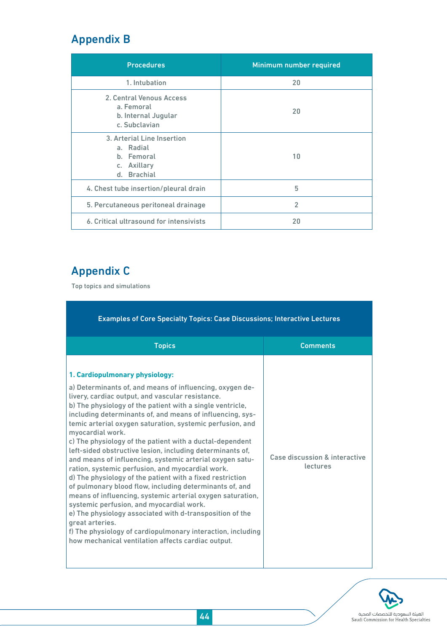## Appendix B

| <b>Procedures</b>                                                                   | Minimum number required |
|-------------------------------------------------------------------------------------|-------------------------|
| 1. Intubation                                                                       | 20                      |
| 2. Central Venous Access<br>a. Femoral<br>b. Internal Jugular<br>c. Subclavian      | 20                      |
| 3. Arterial Line Insertion<br>a. Radial<br>b. Femoral<br>c. Axillary<br>d. Brachial | 10                      |
| 4. Chest tube insertion/pleural drain                                               | 5                       |
| 5. Percutaneous peritoneal drainage                                                 | $\overline{2}$          |
| 6. Critical ultrasound for intensivists                                             | 20                      |

## Appendix C

Top topics and simulations

| <b>Examples of Core Specialty Topics: Case Discussions; Interactive Lectures</b>                                                                                                                                                                                                                                                                                                                                                                                                                                                                                                                                                                                                                                                                                                                                                                                                                                                                                                                                                         |                                           |  |  |  |  |  |
|------------------------------------------------------------------------------------------------------------------------------------------------------------------------------------------------------------------------------------------------------------------------------------------------------------------------------------------------------------------------------------------------------------------------------------------------------------------------------------------------------------------------------------------------------------------------------------------------------------------------------------------------------------------------------------------------------------------------------------------------------------------------------------------------------------------------------------------------------------------------------------------------------------------------------------------------------------------------------------------------------------------------------------------|-------------------------------------------|--|--|--|--|--|
| <b>Topics</b>                                                                                                                                                                                                                                                                                                                                                                                                                                                                                                                                                                                                                                                                                                                                                                                                                                                                                                                                                                                                                            | <b>Comments</b>                           |  |  |  |  |  |
| 1. Cardiopulmonary physiology:<br>a) Determinants of, and means of influencing, oxygen de-<br>livery, cardiac output, and vascular resistance.<br>b) The physiology of the patient with a single ventricle,<br>including determinants of, and means of influencing, sys-<br>temic arterial oxygen saturation, systemic perfusion, and<br>myocardial work.<br>c) The physiology of the patient with a ductal-dependent<br>left-sided obstructive lesion, including determinants of,<br>and means of influencing, systemic arterial oxygen satu-<br>ration, systemic perfusion, and myocardial work.<br>d) The physiology of the patient with a fixed restriction<br>of pulmonary blood flow, including determinants of, and<br>means of influencing, systemic arterial oxygen saturation,<br>systemic perfusion, and myocardial work.<br>e) The physiology associated with d-transposition of the<br>great arteries.<br>f) The physiology of cardiopulmonary interaction, including<br>how mechanical ventilation affects cardiac output. | Case discussion & interactive<br>lectures |  |  |  |  |  |

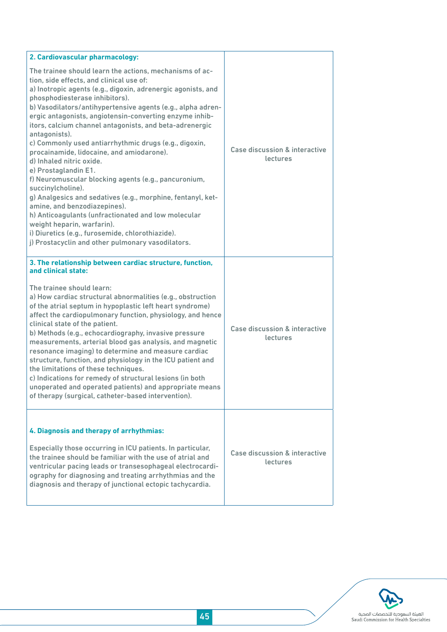| 2. Cardiovascular pharmacology:                                                                                                                                                                                                                                                                                                                                                                                                                                                                                                                                                                                                                                                                                                                                                                                                                                                                                                                 |                                           |  |  |
|-------------------------------------------------------------------------------------------------------------------------------------------------------------------------------------------------------------------------------------------------------------------------------------------------------------------------------------------------------------------------------------------------------------------------------------------------------------------------------------------------------------------------------------------------------------------------------------------------------------------------------------------------------------------------------------------------------------------------------------------------------------------------------------------------------------------------------------------------------------------------------------------------------------------------------------------------|-------------------------------------------|--|--|
| The trainee should learn the actions, mechanisms of ac-<br>tion, side effects, and clinical use of:<br>a) Inotropic agents (e.g., digoxin, adrenergic agonists, and<br>phosphodiesterase inhibitors).<br>b) Vasodilators/antihypertensive agents (e.g., alpha adren-<br>ergic antagonists, angiotensin-converting enzyme inhib-<br>itors, calcium channel antagonists, and beta-adrenergic<br>antagonists).<br>c) Commonly used antiarrhythmic drugs (e.g., digoxin,<br>procainamide, lidocaine, and amiodarone).<br>d) Inhaled nitric oxide.<br>e) Prostaglandin E1.<br>f) Neuromuscular blocking agents (e.g., pancuronium,<br>succinylcholine).<br>g) Analgesics and sedatives (e.g., morphine, fentanyl, ket-<br>amine, and benzodiazepines).<br>h) Anticoagulants (unfractionated and low molecular<br>weight heparin, warfarin).<br>i) Diuretics (e.g., furosemide, chlorothiazide).<br>j) Prostacyclin and other pulmonary vasodilators. | Case discussion & interactive<br>lectures |  |  |
| 3. The relationship between cardiac structure, function,<br>and clinical state:                                                                                                                                                                                                                                                                                                                                                                                                                                                                                                                                                                                                                                                                                                                                                                                                                                                                 |                                           |  |  |
| The trainee should learn:<br>a) How cardiac structural abnormalities (e.g., obstruction<br>of the atrial septum in hypoplastic left heart syndrome)<br>affect the cardiopulmonary function, physiology, and hence<br>clinical state of the patient.<br>b) Methods (e.g., echocardiography, invasive pressure<br>measurements, arterial blood gas analysis, and magnetic<br>resonance imaging) to determine and measure cardiac<br>structure, function, and physiology in the ICU patient and<br>the limitations of these techniques.<br>c) Indications for remedy of structural lesions (in both<br>unoperated and operated patients) and appropriate means<br>of therapy (surgical, catheter-based intervention).                                                                                                                                                                                                                              | Case discussion & interactive<br>lectures |  |  |
| 4. Diagnosis and therapy of arrhythmias:<br>Especially those occurring in ICU patients. In particular,<br>the trainee should be familiar with the use of atrial and<br>ventricular pacing leads or transesophageal electrocardi-<br>ography for diagnosing and treating arrhythmias and the                                                                                                                                                                                                                                                                                                                                                                                                                                                                                                                                                                                                                                                     | Case discussion & interactive<br>lectures |  |  |
| diagnosis and therapy of junctional ectopic tachycardia.                                                                                                                                                                                                                                                                                                                                                                                                                                                                                                                                                                                                                                                                                                                                                                                                                                                                                        |                                           |  |  |

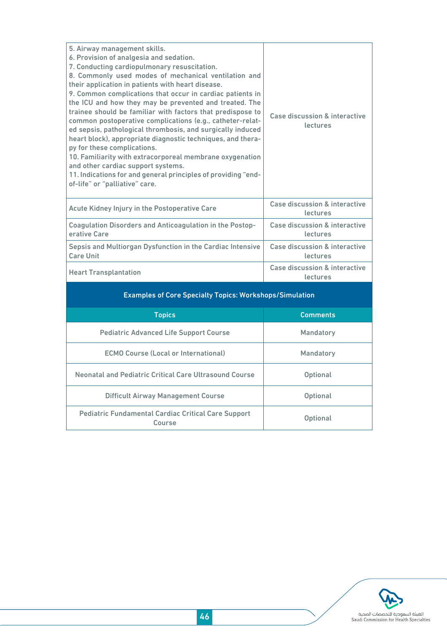| 5. Airway management skills.<br>6. Provision of analgesia and sedation.<br>7. Conducting cardiopulmonary resuscitation.<br>8. Commonly used modes of mechanical ventilation and<br>their application in patients with heart disease.<br>9. Common complications that occur in cardiac patients in<br>the ICU and how they may be prevented and treated. The<br>trainee should be familiar with factors that predispose to<br>common postoperative complications (e.g., catheter-relat-<br>ed sepsis, pathological thrombosis, and surgically induced<br>heart block), appropriate diagnostic techniques, and thera-<br>py for these complications.<br>10. Familiarity with extracorporeal membrane oxygenation<br>and other cardiac support systems.<br>11. Indications for and general principles of providing "end-<br>of-life" or "palliative" care. | Case discussion & interactive<br>lectures |  |  |  |  |  |
|---------------------------------------------------------------------------------------------------------------------------------------------------------------------------------------------------------------------------------------------------------------------------------------------------------------------------------------------------------------------------------------------------------------------------------------------------------------------------------------------------------------------------------------------------------------------------------------------------------------------------------------------------------------------------------------------------------------------------------------------------------------------------------------------------------------------------------------------------------|-------------------------------------------|--|--|--|--|--|
| Acute Kidney Injury in the Postoperative Care                                                                                                                                                                                                                                                                                                                                                                                                                                                                                                                                                                                                                                                                                                                                                                                                           | Case discussion & interactive<br>lectures |  |  |  |  |  |
| Coagulation Disorders and Anticoagulation in the Postop-<br>erative Care                                                                                                                                                                                                                                                                                                                                                                                                                                                                                                                                                                                                                                                                                                                                                                                | Case discussion & interactive<br>lectures |  |  |  |  |  |
| Sepsis and Multiorgan Dysfunction in the Cardiac Intensive<br><b>Care Unit</b>                                                                                                                                                                                                                                                                                                                                                                                                                                                                                                                                                                                                                                                                                                                                                                          | Case discussion & interactive<br>lectures |  |  |  |  |  |
| <b>Heart Transplantation</b>                                                                                                                                                                                                                                                                                                                                                                                                                                                                                                                                                                                                                                                                                                                                                                                                                            | Case discussion & interactive<br>lectures |  |  |  |  |  |
| <b>Examples of Core Specialty Topics: Workshops/Simulation</b>                                                                                                                                                                                                                                                                                                                                                                                                                                                                                                                                                                                                                                                                                                                                                                                          |                                           |  |  |  |  |  |
| <b>Topics</b>                                                                                                                                                                                                                                                                                                                                                                                                                                                                                                                                                                                                                                                                                                                                                                                                                                           | <b>Comments</b>                           |  |  |  |  |  |
|                                                                                                                                                                                                                                                                                                                                                                                                                                                                                                                                                                                                                                                                                                                                                                                                                                                         |                                           |  |  |  |  |  |

| <b>LODICS</b>                                                        | comments        |
|----------------------------------------------------------------------|-----------------|
| <b>Pediatric Advanced Life Support Course</b>                        | Mandatory       |
| <b>ECMO Course (Local or International)</b>                          | Mandatory       |
| Neonatal and Pediatric Critical Care Ultrasound Course               | <b>Optional</b> |
| <b>Difficult Airway Management Course</b>                            | <b>Optional</b> |
| <b>Pediatric Fundamental Cardiac Critical Care Support</b><br>Course | <b>Optional</b> |

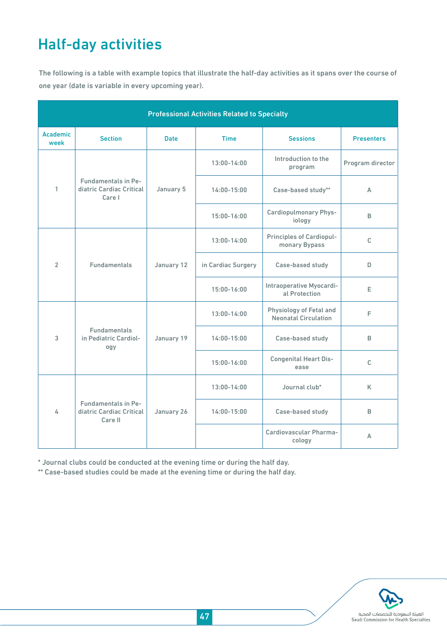## Half-day activities

The following is a table with example topics that illustrate the half-day activities as it spans over the course of one year (date is variable in every upcoming year).

| <b>Professional Activities Related to Specialty</b> |                                                                   |             |                    |                                                        |                   |  |
|-----------------------------------------------------|-------------------------------------------------------------------|-------------|--------------------|--------------------------------------------------------|-------------------|--|
| <b>Academic</b><br>week                             | <b>Section</b>                                                    | <b>Date</b> | <b>Time</b>        | <b>Sessions</b>                                        | <b>Presenters</b> |  |
| 1                                                   | <b>Fundamentals in Pe-</b><br>diatric Cardiac Critical<br>Care I  | January 5   | $13:00 - 14:00$    | Introduction to the<br>program                         | Program director  |  |
|                                                     |                                                                   |             | $14:00 - 15:00$    | Case-based study**                                     | A                 |  |
|                                                     |                                                                   |             | $15:00 - 16:00$    | <b>Cardiopulmonary Phys-</b><br>iology                 | B                 |  |
| $\overline{2}$                                      | <b>Fundamentals</b>                                               | January 12  | $13:00 - 14:00$    | <b>Principles of Cardiopul-</b><br>monary Bypass       | $\mathsf{C}$      |  |
|                                                     |                                                                   |             | in Cardiac Surgery | Case-based study                                       | D                 |  |
|                                                     |                                                                   |             | $15:00 - 16:00$    | Intraoperative Myocardi-<br>al Protection              | E                 |  |
| 3                                                   | <b>Fundamentals</b><br>in Pediatric Cardiol-<br>ogy               | January 19  | $13:00 - 14:00$    | Physiology of Fetal and<br><b>Neonatal Circulation</b> | F                 |  |
|                                                     |                                                                   |             | 14:00-15:00        | Case-based study                                       | B                 |  |
|                                                     |                                                                   |             | 15:00-16:00        | <b>Congenital Heart Dis-</b><br>ease                   | C                 |  |
| 4                                                   | <b>Fundamentals in Pe-</b><br>diatric Cardiac Critical<br>Care II | January 26  | 13:00-14:00        | Journal club*                                          | K                 |  |
|                                                     |                                                                   |             | $14:00 - 15:00$    | Case-based study                                       | B                 |  |
|                                                     |                                                                   |             |                    | Cardiovascular Pharma-<br>cology                       | A                 |  |

\* Journal clubs could be conducted at the evening time or during the half day.

\*\* Case-based studies could be made at the evening time or during the half day.

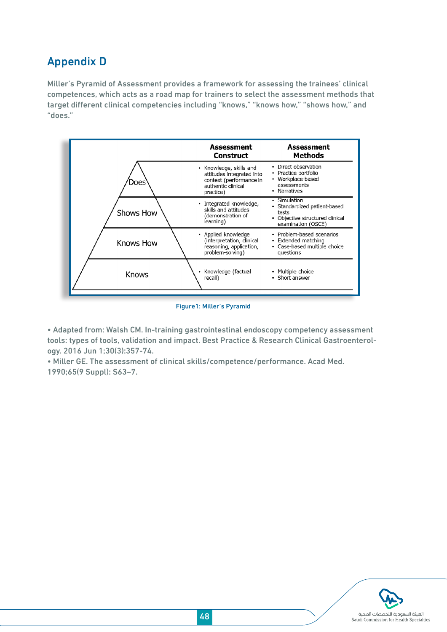## Appendix D

Miller's Pyramid of Assessment provides a framework for assessing the trainees' clinical competences, which acts as a road map for trainers to select the assessment methods that target different clinical competencies including "knows," "knows how," "shows how," and "does."



Figure1: Miller's Pyramid

• Adapted from: Walsh CM. In-training gastrointestinal endoscopy competency assessment tools: types of tools, validation and impact. Best Practice & Research Clinical Gastroenterology. 2016 Jun 1;30(3):357-74.

• Miller GE. The assessment of clinical skills/competence/performance. Acad Med. 1990;65(9 Suppl): S63–7.

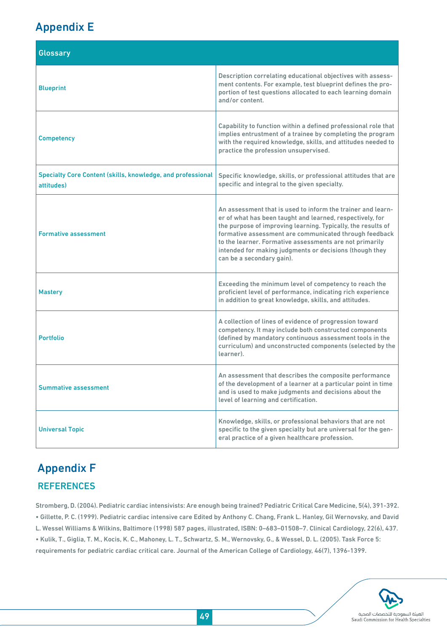## Appendix E

| <b>Glossary</b>                                                                  |                                                                                                                                                                                                                                                                                                                                                                                                       |  |  |  |
|----------------------------------------------------------------------------------|-------------------------------------------------------------------------------------------------------------------------------------------------------------------------------------------------------------------------------------------------------------------------------------------------------------------------------------------------------------------------------------------------------|--|--|--|
| <b>Blueprint</b>                                                                 | Description correlating educational objectives with assess-<br>ment contents. For example, test blueprint defines the pro-<br>portion of test questions allocated to each learning domain<br>and/or content.                                                                                                                                                                                          |  |  |  |
| <b>Competency</b>                                                                | Capability to function within a defined professional role that<br>implies entrustment of a trainee by completing the program<br>with the required knowledge, skills, and attitudes needed to<br>practice the profession unsupervised.                                                                                                                                                                 |  |  |  |
| <b>Specialty Core Content (skills, knowledge, and professional</b><br>attitudes) | Specific knowledge, skills, or professional attitudes that are<br>specific and integral to the given specialty.                                                                                                                                                                                                                                                                                       |  |  |  |
| <b>Formative assessment</b>                                                      | An assessment that is used to inform the trainer and learn-<br>er of what has been taught and learned, respectively, for<br>the purpose of improving learning. Typically, the results of<br>formative assessment are communicated through feedback<br>to the learner. Formative assessments are not primarily<br>intended for making judgments or decisions (though they<br>can be a secondary gain). |  |  |  |
| <b>Mastery</b>                                                                   | Exceeding the minimum level of competency to reach the<br>proficient level of performance, indicating rich experience<br>in addition to great knowledge, skills, and attitudes.                                                                                                                                                                                                                       |  |  |  |
| <b>Portfolio</b>                                                                 | A collection of lines of evidence of progression toward<br>competency. It may include both constructed components<br>(defined by mandatory continuous assessment tools in the<br>curriculum) and unconstructed components (selected by the<br>learner).                                                                                                                                               |  |  |  |
| <b>Summative assessment</b>                                                      | An assessment that describes the composite performance<br>of the development of a learner at a particular point in time<br>and is used to make judgments and decisions about the<br>level of learning and certification.                                                                                                                                                                              |  |  |  |
| <b>Universal Topic</b>                                                           | Knowledge, skills, or professional behaviors that are not<br>specific to the given specialty but are universal for the gen-<br>eral practice of a given healthcare profession.                                                                                                                                                                                                                        |  |  |  |

## Appendix F **REFERENCES**

Stromberg, D. (2004). Pediatric cardiac intensivists: Are enough being trained? Pediatric Critical Care Medicine, 5(4), 391-392. • Gillette, P. C. (1999). Pediatric cardiac intensive care Edited by Anthony C. Chang, Frank L. Hanley, Gil Wernovsky, and David L. Wessel Williams & Wilkins, Baltimore (1998) 587 pages, illustrated, ISBN: 0–683–01508–7. Clinical Cardiology, 22(6), 437. • Kulik, T., Giglia, T. M., Kocis, K. C., Mahoney, L. T., Schwartz, S. M., Wernovsky, G., & Wessel, D. L. (2005). Task Force 5: requirements for pediatric cardiac critical care. Journal of the American College of Cardiology, 46(7), 1396-1399.